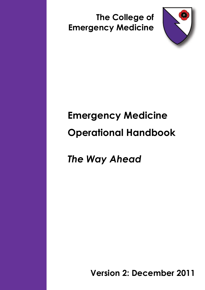**The College of Emergency Medicine**



# **Emergency Medicine Operational Handbook**

*The Way Ahead*

**Version 2: December 2011**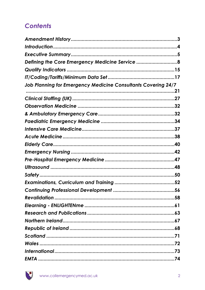# **Contents**

| Defining the Core Emergency Medicine Service 8                |  |
|---------------------------------------------------------------|--|
|                                                               |  |
|                                                               |  |
| Job Planning for Emergency Medicine Consultants Covering 24/7 |  |
|                                                               |  |
|                                                               |  |
|                                                               |  |
|                                                               |  |
|                                                               |  |
|                                                               |  |
|                                                               |  |
|                                                               |  |
|                                                               |  |
|                                                               |  |
|                                                               |  |
|                                                               |  |
|                                                               |  |
|                                                               |  |
|                                                               |  |
|                                                               |  |
|                                                               |  |
|                                                               |  |
|                                                               |  |
|                                                               |  |
|                                                               |  |
|                                                               |  |
|                                                               |  |

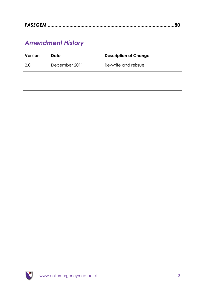# <span id="page-2-0"></span>*Amendment History*

| <b>Version</b> | <b>Date</b>   | <b>Description of Change</b> |
|----------------|---------------|------------------------------|
| 2.0            | December 2011 | Re-write and reissue         |
|                |               |                              |
|                |               |                              |

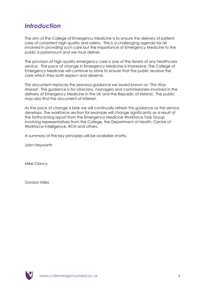# <span id="page-3-0"></span>*Introduction*

The aim of the College of Emergency Medicine is to ensure the delivery of patient care of consistent high quality and safety. This is a challenging agenda for all involved in providing such care but the importance of Emergency Medicine to the public is paramount and we must deliver.

The provision of high quality emergency care is one of the tenets of any healthcare service. The pace of change in Emergency Medicine is impressive. The College of Emergency Medicine will continue to strive to ensure that the public receive the care which they both expect and deserve.

This document replaces the previous guidance we issued known as *'The Way Ahead'*. This guidance is for clinicians, managers and commissioners involved in the delivery of Emergency Medicine in the UK and the Republic of Ireland. The public may also find the document of interest.

As the pace of change is brisk we will continually refresh this guidance as the service develops. The workforce section for example will change significantly as a result of the forthcoming report from the Emergency Medicine Workforce Task Group involving representatives from the College, the Department of Health, Centre of Workforce Intelligence, RCN and others.

A summary of the key principles will be available shortly.

John Heyworth

Mike Clancy

Gordon Miles

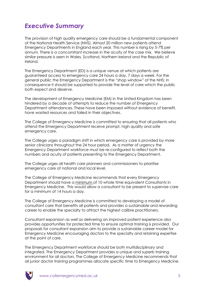# <span id="page-4-0"></span>*Executive Summary*

The provision of high quality emergency care should be a fundamental component of the National Health Service (NHS). Almost 20 million new patients attend Emergency Departments in England each year. This number is rising by 5-7% per annum. There is a concomitant increase in the acuity of the case mix. We believe similar pressure is seen in Wales, Scotland, Northern Ireland and the Republic of Ireland.

The Emergency Department (ED) is a unique venue at which patients are guaranteed access to emergency care 24 hours a day, 7 days a week. For the general public the Emergency Department is the "shop window" of the NHS; in consequence it should be supported to provide the level of care which the public both expect and deserve.

The development of Emergency Medicine (EM) in the United Kingdom has been hindered by a decade of attempts to reduce the number of Emergency Department attendances. These have been imposed without evidence of benefit, have wasted resources and failed in their objectives.

The College of Emergency Medicine is committed to ensuring that all patients who attend the Emergency Department receive prompt, high quality and safe emergency care.

The College urges a paradigm shift in which emergency care is provided by more senior clinicians throughout the 24 hour period. As a matter of urgency the Emergency Department workforce must be re-configured to reflect both the numbers and acuity of patients presenting to the Emergency Department.

The College urges all health care planners and commissioners to prioritise emergency care at national and local level.

The College of Emergency Medicine recommends that every Emergency Department should have a minimum of 10 whole time equivalent Consultants in Emergency Medicine. This would allow a consultant to be present to supervise care for a minimum of 14 hours a day.

The College of Emergency Medicine is committed to developing a model of consultant care that benefits all patients and provides a sustainable and rewarding career to enable the specialty to attract the highest calibre practitioners.

Consultant expansion as well as delivering an improved patient experience also provides opportunities for protected time to ensure optimal training is provided. Our proposals for consultant expansion aim to provide a sustainable career model for Emergency Medicine encouraging doctors to the specialty and retaining expertise at the point of care.

The Emergency Department workforce should be both multidisciplinary and integrated. The Emergency Department provides a unique and superb training environment for all doctors. The College of Emergency Medicine recommends that all junior doctor training programmes allocate specific time to Emergency Medicine.

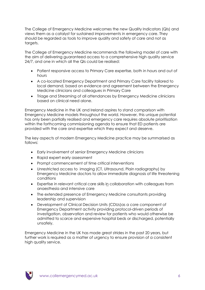The College of Emergency Medicine welcomes the new Quality Indicators (QIs) and views them as a catalyst for sustained improvements in emergency care. They should be regarded as tools to improve quality and safety of care and not as targets.

The College of Emergency Medicine recommends the following model of care with the aim of delivering guaranteed access to a comprehensive high quality service 24/7, and one in which all the QIs could be realised:

- Patient responsive access to Primary Care expertise, both in hours and out of hours
- A co-located Emergency Department and Primary Care facility tailored to local demand, based on evidence and agreement between the Emergency Medicine clinicians and colleagues in Primary Care
- Triage and Streaming of all attendances by Emergency Medicine clinicians based on clinical need alone.

Emergency Medicine in the UK and Ireland aspires to stand comparison with Emergency Medicine models throughout the world. However, this unique potential has only been partially realised and emergency care requires absolute prioritisation within the forthcoming commissioning agenda to ensure that ED patients are provided with the care and expertise which they expect and deserve.

The key aspects of modern Emergency Medicine practice may be summarised as follows:

- Early involvement of senior Emergency Medicine clinicians
- Rapid expert early assessment
- Prompt commencement of time critical interventions
- Unrestricted access to imaging (CT, Ultrasound, Plain radiography) by Emergency Medicine doctors to allow immediate diagnosis of life threatening conditions
- Expertise in relevant critical care skills in collaboration with colleagues from anaesthesia and intensive care
- The extended presence of Emergency Medicine consultants providing leadership and supervision
- Development of Clinical Decision Units (CDUs)as a core component of Emergency Department activity providing protocol-driven periods of investigation, observation and review for patients who would otherwise be admitted to scarce and expensive hospital beds or discharged, potentially unsafely.

Emergency Medicine in the UK has made great strides in the past 20 years, but further work is required as a matter of urgency to ensure provision of a consistent high quality service.

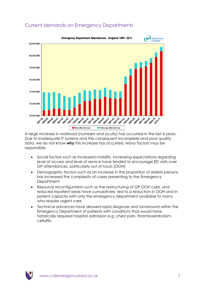

# Current demands on Emergency Departments

A large increase in workload (numbers and acuity) has occurred in the last 6 years. Due to inadequate IT systems and the consequent incomplete and poor quality data, we do not know **why** this increase has occurred. Many factors may be responsible:

- Social factors such as increased mobility, increasing expectations regarding level of access and level of service have tended to encourage ED visits over GP attendances, particularly out of hours (OOH)
- Demographic factors such as an increase in the proportion of elderly persons has increased the complexity of cases presenting to the Emergency **Department**
- Resource reconfiguration such as the restructuring of GP OOH care, and reduced inpatient beds have cumulatively led to a reduction in OOH and in patient capacity with only the emergency department available to many who require urgent care
- Technical advances have allowed rapid diagnosis and turnaround within the Emergency Department of patients with conditions that would have historically required hospital admission e.g. chest pain, thromboembolism, cellulitis.

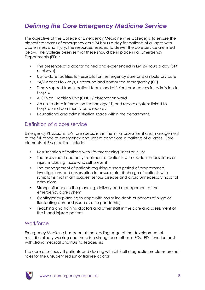# <span id="page-7-0"></span>*Defining the Core Emergency Medicine Service*

The objective of the College of Emergency Medicine (the College) is to ensure the highest standards of emergency care 24 hours a day for patients of all ages with acute illness and injury. The resources needed to deliver the core service are listed below. The College believes that these should be in place in all Emergency Departments (EDs):

- The presence of a doctor trained and experienced in EM 24 hours a day (ST4 or above)
- Up-to-date facilities for resuscitation, emergency care and ambulatory care
- 24/7 access to x-rays, ultrasound and computed tomography (CT)
- Timely support from inpatient teams and efficient procedures for admission to hospital
- A Clinical Decision Unit (CDU) / observation ward
- An up-to-date information technology (IT) and records system linked to hospital and community care records
- Educational and administrative space within the department.

# Definition of a core service

Emergency Physicians (EPs) are specialists in the initial assessment and management of the full range of emergency and urgent conditions in patients of all ages. Core elements of EM practice include:

- Resuscitation of patients with life-threatening illness or injury
- The assessment and early treatment of patients with sudden serious illness or injury, including those who self-present
- The management of patients requiring a short period of programmed investigations and observation to ensure safe discharge of patients with symptoms that might suggest serious disease and avoid unnecessary hospital admissions
- Strong influence in the planning, delivery and management of the emergency care system
- Contingency planning to cope with major incidents or periods of huge or fluctuating demand (such as a flu pandemic)
- Teaching and training doctors and other staff in the care and assessment of the ill and injured patient.

# Workforce

Emergency Medicine has been at the leading edge of the development of multidisciplinary working and there is a strong team ethos in EDs. EDs function best with strong medical and nursing leadership.

The care of seriously ill patients and dealing with difficult diagnostic problems are not roles for the unsupervised junior trainee doctor.

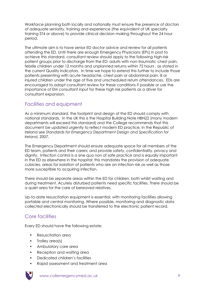Workforce planning both locally and nationally must ensure the presence of doctors of adequate seniority, training and experience (the equivalent of UK specialty training ST4 or above) to provide clinical decision making throughout the 24 hour period.

The ultimate aim is to have senior ED doctor advice and review for all patients attending the ED. Until there are enough Emergency Physicians (EPs) in post to achieve this standard, consultant review should apply to the following high-risk patient groups prior to discharge from the ED: adults with non-traumatic chest pain, febrile children under 12 months and unplanned returns within 72 hours , as stated in the current Quality Indicators. In time we hope to extend this further to include those patients presenting with acute headache, chest pain or abdominal pain, ill or injured children under the age of five and unscheduled return attendances. EDs are encouraged to adopt consultant review for these conditions if possible or use the importance of EM consultant input for these high risk patients as a driver for consultant expansion.

# Facilities and equipment

As a minimum standard, the footprint and design of the ED should comply with national standards. In the UK this is the Hospital Building Note HBN22 (many modern departments will exceed this standard) and the College recommends that this document be updated urgently to reflect modern ED practice. In the Republic of Ireland see *Standards for Emergency Department Design and Specification for Ireland, 2007*.

The Emergency Department should ensure adequate space for all members of the ED team, patients and their carers; and provide safety, confidentiality, privacy and dignity. Infection control is a sine qua non of safe practice and is equally important in the ED as elsewhere in the hospital; this mandates the provision of adequate cubicles, areas for isolation of patients who are an infection risk as well as those more susceptible to acquiring infection.

There should be separate areas within the ED for children, both whilst waiting and during treatment. Acutely disturbed patients need specific facilities. There should be a quiet area for the care of bereaved relatives.

Up-to-date resuscitation equipment is essential, with monitoring facilities allowing portable and central monitoring. Where possible, monitoring and diagnostic data collected electronically should be transferred to the electronic patient record.

# Core facilities

Every ED should have the following estate:

- Resuscitation area
- Trolley area(s)
- Ambulatory care area
- Reception and waiting area
- Dedicated children"s facilities
- Rapid assessment and treatment area

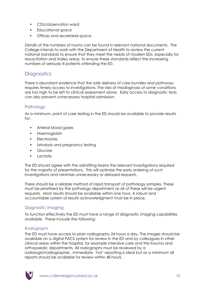- CDU/observation ward
- Educational space
- Offices and secretarial space.

Details of the numbers of rooms can be found in relevant national documents. The College intends to work with the Department of Health to review the current national standards to ensure that they meet the needs of modern EDs, especially for resuscitation and trolley areas, to ensure these standards reflect the increasing numbers of seriously ill patients attending the ED.

# **Diagnostics**

There is abundant evidence that the safe delivery of care bundles and pathways requires timely access to investigations. The risks of misdiagnosis of some conditions are too high to be left to clinical assessment alone. Early access to diagnostic tests can also prevent unnecessary hospital admission.

### **Pathology**

As a minimum, point of care testing in the ED should be available to provide results for:

- Arterial blood gases
- Haemoglobin
- Electrolytes
- Urinalysis and pregnancy testing
- Glucose
- Lactate.

The ED should agree with the admitting teams the relevant investigations required for the majority of presentations. This will optimise the early ordering of such investigations and minimise unnecessary or delayed requests.

There should be a reliable method of rapid transport of pathology samples. These must be prioritised by the pathology department as all of these will be urgent requests. Most results should be available within one hour. A robust and accountable system of results acknowledgment must be in place.

#### Diagnostic imaging

To function effectively the ED must have a range of diagnostic imaging capabilities available. These include the following:

#### *Radiographs*

The ED must have access to plain radiography 24 hours a day. The images should be available on a digital PACS system for review in the ED and by colleagues in other clinical areas within the hospital, for example intensive care and the trauma and orthopaedic departments. All radiographs must be reviewed by a radiologist/radiographer. Immediate, "hot" reporting is ideal but as a minimum all reports should be available for review within 48 hours.

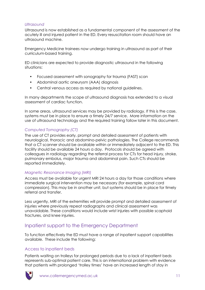#### *Ultrasound*

Ultrasound is now established as a fundamental component of the assessment of the acutely ill and injured patient in the ED. Every resuscitation room should have an ultrasound machine.

Emergency Medicine trainees now undergo training in ultrasound as part of their curriculum-based training.

ED clinicians are expected to provide diagnostic ultrasound in the following situations:

- Focused assessment with sonography for trauma (FAST) scan
- Abdominal aortic aneurysm (AAA) diagnosis
- Central venous access as required by national guidelines.

In many departments the scope of ultrasound diagnosis has extended to a visual assessment of cardiac function.

In some areas, ultrasound services may be provided by radiology. If this is the case, systems must be in place to ensure a timely 24/7 service. More information on the use of ultrasound technology and the required training follow later in this document.

#### *Computed Tomography (CT)*

The use of CT provides early, prompt and detailed assessment of patients with neurological, thoracic and abdomino-pelvic pathologies. The College recommends that a CT scanner should be available within or immediately adjacent to the ED. This facility should be available 24 hours a day. Protocols should be agreed with colleagues in radiology regarding the referral process for CTs for head injury, stroke, pulmonary embolus, major trauma and abdominal pain. Such CTs should be reported immediately.

#### *Magnetic Resonance Imaging (MRI)*

Access must be available for urgent MRI 24 hours a day for those conditions where immediate surgical intervention may be necessary (for example, spinal cord compression). This may be in another unit, but systems should be in place for timely referral and transfer.

Less urgently, MRI of the extremities will provide prompt and detailed assessment of injuries where previously repeat radiographs and clinical assessment was unavoidable. These conditions would include wrist injuries with possible scaphoid fractures, and knee injuries.

# Inpatient support to the Emergency Department

To function effectively the ED must have a range of inpatient support capabilities available. These include the following:

#### Access to inpatient beds

Patients waiting on trolleys for prolonged periods due to a lack of inpatient beds represents sub-optimal patient care. This is an international problem with evidence that patients with prolonged "trolley times" have an increased length of stay in

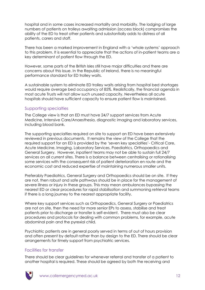hospital and in some cases increased mortality and morbidity. The lodging of large numbers of patients on trolleys awaiting admission (access block) compromises the ability of the ED to treat other patients and substantially adds to distress of all patients, carers and staff.

There has been a marked improvement in England with a "whole systems" approach to this problem. It is essential to appreciate that the actions of in-patient teams are a key determinant of patient flow through the ED.

However, some parts of the British Isles still have major difficulties and there are concerns about this issue. In the Republic of Ireland, there is no meaningful performance standard for ED trolley waits.

A sustainable system to eliminate ED trolley waits arising from hospital bed shortages would require average bed occupancy of 85%. Realistically, the financial agenda in most acute Trusts will not allow such unused capacity. Nevertheless all acute hospitals should have sufficient capacity to ensure patient flow is maintained.

#### Supporting specialties

The College view is that an ED must have 24/7 support services from Acute Medicine, Intensive Care/Anaesthesia, diagnostic imaging and laboratory services, including blood bank.

The supporting specialties required on site to support an ED have been extensively reviewed in previous documents. It remains the view of the College that the required support for an ED is provided by the "seven key specialties"- Critical Care, Acute Medicine, Imaging, Laboratory Services, Paediatrics, Orthopaedics and General Surgery. However, inpatient teams may not be able to sustain full 24/7 services on all current sites. There is a balance between centralising or rationalising some services with the consequent risk of patient deterioration en route and the economic cost and reduced expertise of maintaining numerous smaller units.

Preferably Paediatrics, General Surgery and Orthopaedics should be on site. If they are not, then robust and safe pathways should be in place for the management of severe illness or injury in these groups. This may mean ambulances bypassing the nearest ED or clear procedures for rapid stabilisation and summoning retrieval teams if there is a long journey to the nearest appropriate facility.

Where key support services such as Orthopaedics, General Surgery or Paediatrics are not on site, then the need for more senior EPs to assess, stabilise and treat patients prior to discharge or transfer is self-evident. There must also be clear procedures and protocols for dealing with common problems, for example, acute abdominal pain and the pyrexial child.

Psychiatric patients are in general poorly served in terms of out of hours provision and often present by default rather than by design to the ED. There should be clear arrangements for timely support from psychiatric services.

#### Facilities for transfer

There should be clear guidelines for whenever referral and transfer of a patient to another hospital is required. These should be agreed by both the receiving and

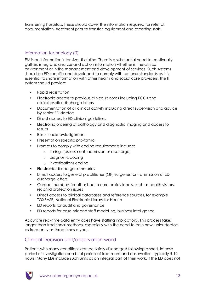transferring hospitals. These should cover the information required for referral, documentation, treatment prior to transfer, equipment and escorting staff.

### Information technology (IT)

EM is an information intensive discipline. There is a substantial need to continually gather, integrate, analyse and act on information whether in the clinical environment or in the management and development of services. Such systems should be ED-specific and developed to comply with national standards as it is essential to share information with other health and social care providers. The IT system should provide:

- Rapid registration
- Electronic access to previous clinical records including ECGs and clinic/hospital discharge letters
- Documentation of all clinical activity including direct supervision and advice by senior ED doctors
- Direct access to ED clinical guidelines
- Electronic ordering of pathology and diagnostic imaging and access to results
- Results acknowledgement
- Presentation specific pro-forma
- Prompts to comply with coding requirements include:
	- o timings (assessment, admission or discharge)
	- o diagnostic coding
	- o investigations coding
- Electronic discharge summaries
- E-mail access to general practitioner (GP) surgeries for transmission of ED discharge letters
- Contact numbers for other health care professionals, such as health visitors, re: child protection issues
- Direct access to clinical databases and reference sources, for example TOXBASE, National Electronic Library for Health
- ED reports for audit and governance
- ED reports for case mix and staff modelling, business intelligence.

Accurate real-time data entry does have staffing implications. This process takes longer than traditional methods, especially with the need to train new junior doctors as frequently as three times a year.

# Clinical Decision Unit/observation ward

Patients with many conditions can be safely discharged following a short, intense period of investigation or a brief period of treatment and observation, typically 4-12 hours. Many EDs include such units as an integral part of their work. If the ED does not

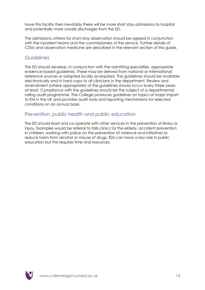have this facility then inevitably there will be more short stay admissions to hospital and potentially more unsafe discharges from the ED.

The admissions criteria for short-stay observation should be agreed in conjunction with the inpatient teams and the commissioners of the service. Further details of CDUs and observation medicine are described in the relevant section of this guide.

### **Guidelines**

The ED should develop, in conjunction with the admitting specialties, appropriate evidence-based guidelines. These may be derived from national or international reference sources or adapted locally as required. The guidelines should be available electronically and in hard copy to all clinicians in the department. Review and amendment (where appropriate) of the guidelines should occur every three years at least. Compliance with the guidelines should be the subject of a departmental rolling audit programme. The College produces guidelines on topics of major import to EM in the UK and provides audit tools and reporting mechanisms for selected conditions on an annual basis.

# Prevention, public health and public education

The ED should lead and co-operate with other services in the prevention of illness or injury. Examples would be referral to falls clinics for the elderly, accident prevention in children, working with police on the prevention of violence and initiatives to reduce harm from alcohol or misuse of drugs. EDs can have a key role in public education but this requires time and resources.

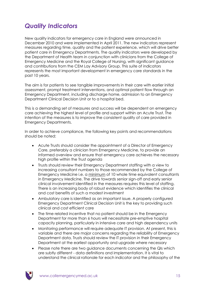# <span id="page-14-0"></span>*Quality Indicators*

New quality indicators for emergency care in England were announced in December 2010 and were implemented in April 2011. The new indicators represent measures regarding time, quality and the patient experience, which will drive better patient care in Emergency Departments. The quality indicators were developed by the Department of Health team in conjunction with clinicians from the College of Emergency Medicine and the Royal College of Nursing, with significant guidance and contributions from the CEM Lay Advisory Group. This suite of indicators represents the most important development in emergency care standards in the past 10 years.

The aim is for patients to see tangible improvements in their care with earlier initial assessment, prompt treatment interventions, and optimal patient flow through an Emergency Department, including discharge home, admission to an Emergency Department Clinical Decision Unit or to a hospital bed.

This is a demanding set of measures and success will be dependent on emergency care achieving the highest level of profile and support within an Acute Trust. The intention of the measures is to improve the consistent quality of care provided in Emergency Departments.

In order to achieve compliance, the following key points and recommendations should be noted:

- Acute Trusts should consider the appointment of a Director of Emergency Care, preferably a clinician from Emergency Medicine, to provide an informed overview and ensure that emergency care achieves the necessary high profile within the Trust agenda
- Trusts should review their Emergency Department staffing with a view to increasing consultant numbers to those recommended by the College of Emergency Medicine i.e. a minimum of 10 whole time equivalent consultants in Emergency Medicine. The drive towards senior sign-off and early senior clinical involvement identified in the measures requires this level of staffing. There is an increasing body of robust evidence which identifies the clinical and cost benefits of such a modest investment
- Ambulatory care is identified as an important issue. A properly configured Emergency Department Clinical Decision Unit is the key to providing such clinical and cost efficient care
- The time related incentive that no patient should be in the Emergency Department for more than 6 hours will necessitate pre-emptive hospital capacity planning, particularly in intensive care and high dependency units
- Monitoring performance will require adequate IT provision. At present, this is variable and there are major concerns regarding the reliability of Emergency Department data. Trusts should review the IT provision in their Emergency Department at the earliest opportunity and upgrade where necessary
- Please note there are two guidance documents concerning the QIs which are subtly different - data definitions and implementation. It is vital to understand the clinical rationale for each indicator and the philosophy of the

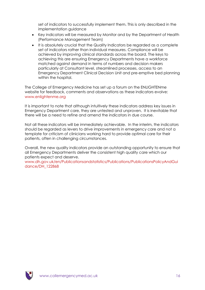set of indicators to successfully implement them. This is only described in the implementation guidance

- Key indicators will be measured by Monitor and by the Department of Health (Performance Management Team)
- It is absolutely crucial that the Quality Indicators be regarded as a complete set of indicators rather than individual measures. Compliance will be achieved by improving clinical standards across the board. The keys to achieving this are ensuring Emergency Departments have a workforce matched against demand in terms of numbers and decision makers particularly at Consultant level, streamlined processes, access to an Emergency Department Clinical Decision Unit and pre-emptive bed planning within the hospital.

The College of Emergency Medicine has set up a forum on the ENLIGHTENme website for feedback, comments and observations as these indicators evolve: [www.enlightenme.org](http://www.enlightenme.org/)

It is important to note that although intuitively these indicators address key issues in Emergency Department care, they are untested and unproven. It is inevitable that there will be a need to refine and amend the indicators in due course.

Not all these indicators will be immediately achievable. In the interim, the indicators should be regarded as levers to drive improvements in emergency care and not a template for criticism of clinicians working hard to provide optimal care for their patients, often in challenging circumstances.

Overall, the new quality indicators provide an outstanding opportunity to ensure that all Emergency Departments deliver the consistent high quality care which our patients expect and deserve.

[www.dh.gov.uk/en/Publicationsandstatistics/Publications/PublicationsPolicyAndGui](http://www.dh.gov.uk/en/Publicationsandstatistics/Publications/PublicationsPolicyAndGuidance/DH_122868) [dance/DH\\_122868](http://www.dh.gov.uk/en/Publicationsandstatistics/Publications/PublicationsPolicyAndGuidance/DH_122868)

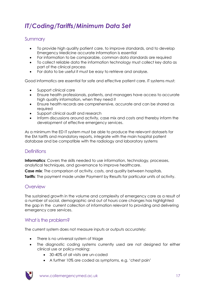# <span id="page-16-0"></span>*IT/Coding/Tariffs/Minimum Data Set*

# **Summary**

- To provide high quality patient care, to improve standards, and to develop Emergency Medicine accurate information is essential
- For information to be comparable, common data standards are required
- To collect reliable data the information technology must collect key data as part of the clinical process
- For data to be useful it must be easy to retrieve and analyse.

Good informatics are essential for safe and effective patient care. IT systems must:

- Support clinical care
- Ensure health professionals, patients, and managers have access to accurate high quality information, when they need it
- Ensure health records are comprehensive, accurate and can be shared as required
- Support clinical audit and research
- Inform discussions around activity, case mix and costs and thereby inform the development of effective emergency services.

As a minimum the ED IT system must be able to produce the relevant datasets for the EM tariffs and mandatory reports, integrate with the main hospital patient database and be compatible with the radiology and laboratory systems

# **Definitions**

**Informatics:** Covers the skills needed to use information, technology, processes, analytical techniques, and governance to improve healthcare.

**Case mix**: The comparison of activity, costs, and quality between hospitals. **Tariffs**: The payment made under Payment by Results for particular units of activity.

# **Overview**

The sustained growth in the volume and complexity of emergency care as a result of a number of social, demographic and out of hours care changes has highlighted the gap in the current collection of information relevant to providing and delivering emergency care services.

# What is the problem?

The current system does not measure inputs or outputs accurately:

- There is no universal system of triage
- The diagnostic coding systems currently used are not designed for either clinical use or policy-making:
	- 30-40% of all visits are un-coded
	- A further 10% are coded as symptoms, e.g. "chest pain"

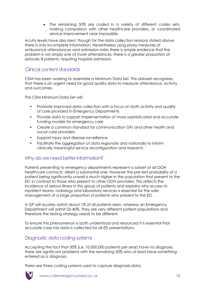The remaining 50% are coded in a variety of different codes sets, making comparison with other healthcare providers, or coordinated service improvement near impossible.

Acuity levels have also risen; though for the data collection reasons stated above there is only incomplete information. Nevertheless using proxy measures of ambulance attendances and admission rates there is ample evidence that the problem is not simply one of more attendances; there is a greater proportion of seriously ill patients, requiring hospital admission.

# Clinical content standards

CEM has been working to assemble a Minimum Data Set. This dataset recognises that there is an urgent need for good quality data to measure attendance, activity and outcomes.

The CEM Minimum Data Set will:

- Promote improved data collection with a focus on both activity and quality of care provided in Emergency Departments
- Provide data to support implementation of more sophisticated and accurate funding models for emergency care
- Create a common standard for communication GPs and other health and social care providers
- Support injury and disease surveillance
- Facilitate the aggregation of data regionally and nationally to inform clinically meaningful service reconfiguration and research.

### Why do we need better information?

Patients presenting to emergency departments represent a subset of all OOH healthcare contacts, albeit a substantial one. However the pre-test probability of a patient being significantly unwell is much higher in the population that present to the ED, in contrast to those who present to other OOH providers. This reflects the incidence of serious illness in this group of patients and explains why access to inpatient teams, radiology and laboratory services is essential for the safe management of a large proportion of patients who present to the ED.

A GP will acutely admit about 1% of all patients seen, whereas an Emergency Department will admit 25-40%. They are very different patient populations and therefore the testing strategy needs to be different.

To ensure this phenomenon is both understood and resourced it is essential that accurate case mix data is collected for all ED presentations.

# Diagnostic data coding systems

Accepting the fact that 50% (i.e. 10,000,000 patients per year) have no diagnosis, there are significant problems with the remaining 50% who at least have something entered as a diagnosis.

There are three coding systems used to capture diagnosis data:

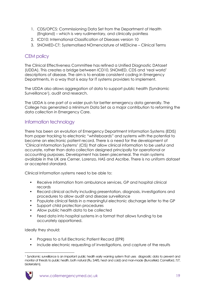- 1. CDS/OPCS: Commissioning Data Set from the Department of Health (England) – which is very rudimentary, and clinically pointless
- 2. ICD10: International Classification of Diseases version 10
- 3. SNOMED-CT: Systematised NOmenclature of MEDicine Clinical Terms

# CEM policy

The Clinical Effectiveness Committee has refined a Unified Diagnostic DAtaset (UDDA). This creates a bridge between ICD10, SNOMED, CDS and "real world" descriptions of disease. The aim is to enable consistent coding in Emergency Departments, in a way that is easy for IT systems providers to implement.

The UDDA also allows aggregation of data to support public health (Syndromic Surveillance<sup>1</sup>), audit and research.

The UDDA is one part of a wider push for better emergency data generally. The College has generated a Minimum Data Set as a major contribution to reforming the data collection in Emergency Care.

# Information technology

There has been an evolution of Emergency Department Information Systems (EDIS) from paper tracking to electronic "whiteboards" and systems with the potential to become an electronic patient record. There is a need for the development of "Clinical Information Systems" (CIS) that allow clinical information to be useful and accurate, rather than data collection designed principally for operational or accounting purposes. Development has been piecemeal. The main systems available in the UK are Cerner, Lorenzo, HAS and Ascribe. There is no uniform dataset or accepted standard.

Clinical Information systems need to be able to:

- Receive information from ambulance services, GP and hospital clinical records
- Record clinical activity including presentation, diagnosis, investigations and procedures to allow audit and disease surveillance
- Populate clinical fields in a meaningful electronic discharge letter to the GP
- Support child protection procedures
- Allow public health data to be collected
- Feed data into hospital systems in a format that allows funding to be accurately apportioned.

Ideally they should:

- Progress to a full Electronic Patient Record (EPR)
- Include electronic requesting of investigations, and capture of the results

<sup>1</sup> <sup>1</sup> Syndromic surveillance is an important public health early warning system that uses diagnostic data to prevent and monitor of threats to public health, both natural (Flu, SARS, heat and cold) and man-made (Buncefield, Camelford, 7/7, bioterrorism).

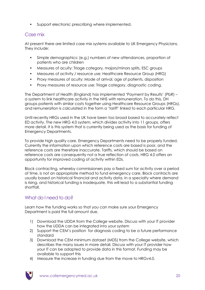• Support electronic prescribing where implemented.

# Case mix

At present there are limited case mix systems available to UK Emergency Physicians. They include:

- Simple demographics: (e.g.) numbers of new attendances, proportion of patients who are children
- Measures of acuity: Triage category, majors/minors splits, ESC groups
- Measures of activity / resource use: Healthcare Resource Group (HRG)
- Proxy measures of acuity: Mode of arrival, age of patients, disposition
- Proxy measures of resource use: Triage category, diagnostic coding.

The Department of Health (England) has implemented "Payment by Results" (PbR) – a system to link healthcare activity in the NHS with remuneration. To do this, DH groups patients with similar costs together using Healthcare Resource Groups (HRGs), and remuneration is calculated in the form a "tariff" linked to each particular HRG.

Until recently HRGs used in the UK have been too broad based to accurately reflect ED activity. The new HRG 4.0 system, which divides activity into 11 groups, offers more detail. It is this system that is currently being used as the basis for funding of Emergency Departments.

To provide high quality care, Emergency Departments need to be properly funded. Currently the information upon which reference costs are based is poor, and the reference costs are therefore inaccurate. Tariffs, which should be based on reference costs are consequently not a true reflection of costs. HRG 4.0 offers an opportunity for improved coding of activity within EDs.

Block contracting, whereby commissioners pay a fixed sum for activity over a period of time, is not an appropriate method to fund emergency care. Block contracts are usually based on historical financial and activity data. In a specialty where demand is rising, and historical funding is inadequate, this will lead to a substantial funding shortfall.

# What do I need to do?

Learn how the funding works so that you can make sure your Emergency Department is paid the full amount due.

- 1) Download the UDDA from the College website. Discuss with your IT provider how the UDDA can be integrated into your system
- 2) Support the CEM"s position for diagnosis coding to be a future performance standard
- 3) Download the CEM minimum dataset (MDS) from the College website, which describes the many issues in more detail. Discuss with your IT provider how your IT can be adapted to provide data in this format. Funding may be available to support this
- 4) Measure the increase in funding due from the move to HRGv4.0.

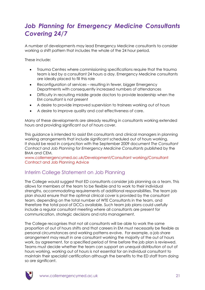# <span id="page-20-0"></span>*Job Planning for Emergency Medicine Consultants Covering 24/7*

A number of developments may lead Emergency Medicine consultants to consider working a shift pattern that includes the whole of the 24 hour period.

These include:

- Trauma Centres where commissioning specifications require that the trauma team is led by a consultant 24 hours a day. Emergency Medicine consultants are ideally placed to fill this role
- Reconfiguration of services resulting in fewer, bigger Emergency Departments with consequently increased numbers of attendances
- Difficulty in recruiting middle grade doctors to provide leadership when the EM consultant is not present
- A desire to provide improved supervision to trainees working out of hours
- A desire to improve quality and cost effectiveness of care.

Many of these developments are already resulting in consultants working extended hours and providing significant out of hours cover.

This guidance is intended to assist EM consultants and clinical managers in planning working arrangements that include significant scheduled out of hours working. It should be read in conjunction with the September 2009 document *The Consultant Contract and Job Planning for Emergency Medicine Consultants* published by the BMA and CEM.

[www.collemergencymed.ac.uk/Development/Consultant working/Consultant](http://www.collemergencymed.ac.uk/Development/Consultant%20working/Consultant%20Contract%20and%20Job%20Planning%20Advice/default.asp)  [Contract and Job Planning Advice](http://www.collemergencymed.ac.uk/Development/Consultant%20working/Consultant%20Contract%20and%20Job%20Planning%20Advice/default.asp)

# Interim College Statement on Job Planning

The College would suggest that ED consultants consider job planning as a team. This allows for members of the team to be flexible and to work to their individual strengths, accommodating requirements of additional responsibilities. The team job plan should ensure that the optimal clinical cover is provided by the consultant team, depending on the total number of WTE Consultants in the team, and therefore the total pool of DCCs available. Such team job plans could usefully include a regular consultant meeting where all consultants are present for communication, strategic decisions and rota management.

The College recognises that not all consultants will be able to work the same proportion of out of hours shifts and that careers in EM must necessarily be flexible as personal circumstances and working patterns evolve. For example, a job share arrangement may result in one consultant working the majority of the out of hours work, by agreement, for a specified period of time before the job plan is reviewed. Teams must decide whether the team can support an unequal distribution of out of hours working, working out of hours is not essential for an individual consultant to maintain their specialist certification although the benefits to the ED staff from doing so are significant.

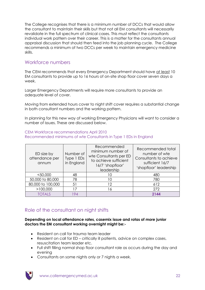The College recognises that there is a minimum number of DCCs that would allow the consultant to maintain their skills but that not all EM consultants will necessarily revalidate in the full spectrum of clinical cases. This must reflect the consultants individual work pattern over their career. This is a matter for the consultants annual appraisal discussion that should then feed into the job planning cycle. The College recommends a minimum of two DCCs per week to maintain emergency medicine skills.

### Workforce numbers

The CEM recommends that every Emergency Department should have at least 10 EM consultants to provide up to 16 hours of on-site shop floor cover seven days a week.

Larger Emergency Departments will require more consultants to provide an adequate level of cover.

Moving from extended hours cover to night shift cover requires a substantial change in both consultant numbers and the working pattern.

In planning for this new way of working Emergency Physicians will want to consider a number of issues. These are discussed below.

#### CEM Workforce recommendations April 2010 Recommended minimums of wte Consultants in Type 1 EDs in England

| ED size by<br>attendance per<br>annum | Number of<br>Type 1 EDs<br>in England | Recommended<br>minimum number of<br>wte Consultants per ED<br>to achieve sufficient<br>16/7 'shopfloor'<br>leadership | Recommended total<br>number of wte<br>Consultants to achieve<br>sufficient 16/7<br>'shopfloor' leadership |
|---------------------------------------|---------------------------------------|-----------------------------------------------------------------------------------------------------------------------|-----------------------------------------------------------------------------------------------------------|
| $<$ 50,000                            | 48                                    |                                                                                                                       | 480                                                                                                       |
| 50,000 to 80,000                      | 78                                    | 10                                                                                                                    | 780                                                                                                       |
| 80,000 to 100,000                     | 51                                    | 12                                                                                                                    | 612                                                                                                       |
| >100,000                              | ۱7                                    | 6                                                                                                                     | 272                                                                                                       |
| <b>TOTALS</b>                         | 194                                   |                                                                                                                       | 2144                                                                                                      |

# Role of the consultant on night shifts

#### **Depending on local attendance rates, casemix issue and rotas of more junior doctors the EM consultant working overnight might be:-**

- Resident on call for trauma team leader
- Resident on call for ED critically ill patients, advice on complex cases, resuscitation team leader etc.
- Full shift filling normal shop floor consultant role as occurs during the day and evening
- Consultants on some nights only or 7 nights a week.

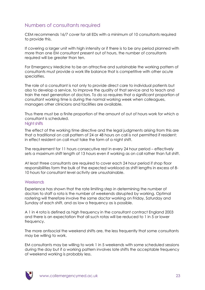# Numbers of consultants required

CEM recommends 16/7 cover for all EDs with a minimum of 10 consultants required to provide this.

If covering a larger unit with high intensity or if there is to be any period planned with more than one EM consultant present out of hours, the number of consultants required will be greater than ten.

For Emergency Medicine to be an attractive and sustainable the working pattern of consultants must provide a work life balance that is competitive with other acute specialties.

The role of a consultant is not only to provide direct care to individual patients but also to develop a service, to improve the quality of that service and to teach and train the next generation of doctors. To do so requires that a significant proportion of consultant working time is during the normal working week when colleagues, managers other clinicians and facilities are available.

Thus there must be a finite proportion of the amount of out of hours work for which a consultant is scheduled.

#### Night shifts

The effect of the working time directive and the legal judgments arising from this are that a traditional on call pattern of 24 or 48 hours on call is not permitted if resident; in effect resident on call must take the form of a night shift.

The requirement for 11 hours consecutive rest in every 24 hour period – effectively sets a maximum shift length of 13 hours even if working as on call rather than full shift.

At least three consultants are required to cover each 24 hour period if shop floor responsibilities form the bulk of the expected workload as shift lengths in excess of 8- 10 hours for consultant level activity are unsustainable.

#### **Weekends**

Experience has shown that the rate limiting step in determining the number of doctors to staff a rota is the number of weekends disrupted by working. Optimal rostering will therefore involve the same doctor working on Friday, Saturday and Sunday of each shift, and as low a frequency as is possible.

A 1 in 4 rota is defined as high frequency in the consultant contract England 2003 and there is an expectation that all such rotas will be reduced to 1 in 5 or lower frequency.

The more antisocial the weekend shifts are, the less frequently that some consultants may be willing to work.

EM consultants may be willing to work 1 in 5 weekends with some scheduled sessions during the day but if a working pattern involves late shifts the acceptable frequency of weekend working is probably less.

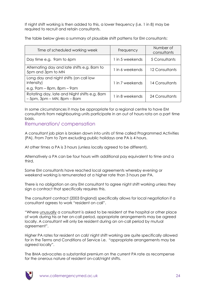If night shift working is then added to this, a lower frequency (i.e. 1 in 8) may be required to recruit and retain consultants.

The table below gives a summary of plausible shift patterns for EM consultants:

| Time of scheduled working week                                                                | Frequency       | Number of<br>consultants |
|-----------------------------------------------------------------------------------------------|-----------------|--------------------------|
| Day time e.g. 9am to 6pm                                                                      | 1 in 5 weekends | 5 Consultants            |
| Alternating day and late shifts e.g. 8am to<br>5pm and 3pm to MN                              | 1 in 6 weekends | 12 Consultants           |
| Long day and night shifts (on call low<br>intensity)<br>e.g. $9$ am – $8$ pm, $8$ pm – $9$ am | 1 in 7 weekends | 14 Consultants           |
| Rotating day, late and Night shifts e.g. 8am<br>$-5$ pm, $3$ pm $-$ MN, $8$ pm $-8$ am        | 1 in 8 weekends | 24 Consultants           |

In some circumstances it may be appropriate for a regional centre to have EM consultants from neighbouring units participate in an out of hours rota on a part time basis.

Remuneration/ compensation

A consultant job plan is broken down into units of time called Programmed Activities (PA). From 7am to 7pm excluding public holidays one PA is 4 hours.

At other times a PA is 3 hours (unless locally agreed to be different).

Alternatively a PA can be four hours with additional pay equivalent to time and a third.

Some EM consultants have reached local agreements whereby evening or weekend working is remunerated at a higher rate than 3 hours per PA.

There is no obligation on any EM consultant to agree night shift working unless they sign a contract that specifically requires this.

The consultant contract (2003 England) specifically allows for local negotiation if a consultant agrees to work "resident on call".

"Where unusually a consultant is asked to be resident at the hospital or other place of work during his or her on-call period, appropriate arrangements may be agreed locally. A consultant will only be resident during an on-call period by mutual agreement".

Higher PA rates for resident on call/ night shift working are quite specifically allowed for in the Terms and Conditions of Service i.e. "appropriate arrangements may be agreed locally".

The BMA advocates a substantial premium on the current PA rate as recompense for the onerous nature of resident on-call/night shifts.

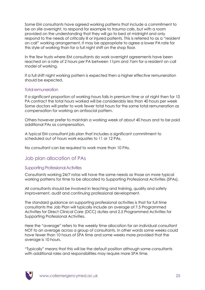Some EM consultants have agreed working patterns that include a commitment to be on site overnight, to respond for example to trauma calls, but with a room provided on the understanding that they will go to bed at midnight and only respond to the needs of critically ill or injured patients. This is referred to as a "resident on call" working arrangement. It may be appropriate to agree a lower PA rate for this style of working than for a full night shift on the shop floor.

In the few trusts where EM consultants do work overnight agreements have been reached on a rate of 2 hours per PA between 11pm and 7am for a resident on call model of working.

If a full shift night working pattern is expected then a higher effective remuneration should be expected.

#### Total remuneration

If a significant proportion of working hours falls in premium time or at night then for 10 PA contract the total hours worked will be considerably less than 40 hours per week Some doctors will prefer to work fewer total hours for the same total remuneration as compensation for working an antisocial pattern.

Others however prefer to maintain a working week of about 40 hours and to be paid additional PAs as compensation.

A typical EM consultant job plan that includes a significant commitment to scheduled out of hours work equates to 11 or 12 PAs.

No consultant can be required to work more than 10 PAs.

#### Job plan allocation of PAs

#### Supporting Professional Activities

Consultants working 24/7 rotas will have the same needs as those on more typical working patterns for time to be allocated to Supporting Professional Activities (SPAs).

All consultants should be involved in teaching and training, quality and safety improvement, audit and continuing professional development.

The standard guidance on supporting professional activities is that for full time consultants the Job Plan will typically include an average of 7.5 Programmed Activities for Direct Clinical Care (DCC) duties and 2.5 Programmed Activities for Supporting Professional Activities.

Here the "average" refers to the weekly time allocation for an individual consultant NOT to an average across a group of consultants. In other words some weeks could have fewer than 10 hours of SPA time and some weeks more provided that the average is 10 hours.

"Typically" means that this will be the default position although some consultants with additional roles and responsibilities may require more SPA time.

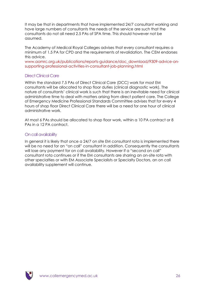It may be that in departments that have implemented 24/7 consultant working and have large numbers of consultants the needs of the service are such that the consultants do not all need 2.5 PAs of SPA time. This should however not be assumed.

The Academy of Medical Royal Colleges advises that every consultant requires a minimum of 1.5 PA for CPD and the requirements of revalidation. The CEM endorses this advice.

[www.aomrc.org.uk/publications/reports-guidance/doc\\_download/9309-advice-on](http://www.aomrc.org.uk/publications/reports-guidance/doc_download/9309-advice-on-supporting-professional-activities-in-consultant-job-planning.html)[supporting-professional-activities-in-consultant-job-planning.html](http://www.aomrc.org.uk/publications/reports-guidance/doc_download/9309-advice-on-supporting-professional-activities-in-consultant-job-planning.html)

#### Direct Clinical Care

Within the standard 7.5 PAs of Direct Clinical Care (DCC) work for most EM consultants will be allocated to shop floor duties (clinical diagnostic work). The nature of consultants" clinical work is such that there is an inevitable need for clinical administrative time to deal with matters arising from direct patient care. The College of Emergency Medicine Professional Standards Committee advises that for every 4 hours of shop floor Direct Clinical Care there will be a need for one hour of clinical administrative work.

At most 6 PAs should be allocated to shop floor work, within a 10 PA contract or 8 PAs in a 12 PA contract.

#### On call availability

In general it is likely that once a 24/7 on site EM consultant rota is implemented there will be no need for an "on call" consultant in addition. Consequently the consultants will lose any payment for on call availability. However if a "second on call" consultant rota continues or if the EM consultants are sharing an on-site rota with other specialties or with EM Associate Specialists or Specialty Doctors, an on call availability supplement will continue.

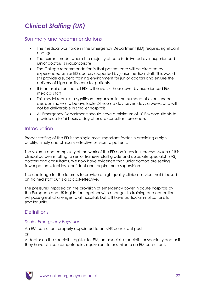# <span id="page-26-0"></span>*Clinical Staffing (UK)*

# Summary and recommendations

- The medical workforce in the Emergency Department (ED) requires significant change
- The current model where the majority of care is delivered by inexperienced junior doctors is inappropriate
- The College recommendation is that patient care will be directed by experienced senior ED doctors supported by junior medical staff. This would still provide a superb training environment for junior doctors and ensure the delivery of high quality care for patients
- It is an aspiration that all EDs will have 24- hour cover by experienced EM medical staff
- This model requires a significant expansion in the numbers of experienced decision makers to be available 24 hours a day, seven days a week, and will not be deliverable in smaller hospitals
- All Emergency Departments should have a minimum of 10 EM consultants to provide up to 16 hours a day of onsite consultant presence.

# Introduction

Proper staffing of the ED is the single most important factor in providing a high quality, timely and clinically effective service to patients.

The volume and complexity of the work of the ED continues to increase. Much of this clinical burden is falling to senior trainees, staff grade and associate specialist (SAS) doctors and consultants. We now have evidence that junior doctors are seeing fewer patients, feel less confident and require more supervision.

The challenge for the future is to provide a high quality clinical service that is based on trained staff but is also cost-effective.

The pressures imposed on the provision of emergency cover in acute hospitals by the European and UK legislation together with changes to training and education will pose great challenges to all hospitals but will have particular implications for smaller units.

# **Definitions**

### *Senior Emergency Physician*

An EM consultant properly appointed to an NHS consultant post

or

A doctor on the specialist register for EM, an associate specialist or specialty doctor if they have clinical competencies equivalent to or similar to an EM consultant.

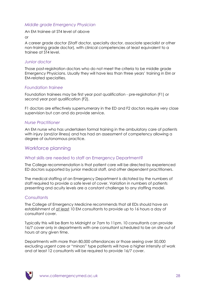#### *Middle grade Emergency Physician*

An EM trainee at ST4 level of above

or

A career grade doctor (Staff doctor, specialty doctor, associate specialist or other non-training grade doctor), with clinical competencies at least equivalent to a trainee at ST4 level.

#### *Junior doctor*

Those post-registration doctors who do not meet the criteria to be middle grade Emergency Physicians. Usually they will have less than three years" training in EM or EM-related specialties.

#### *Foundation trainee*

Foundation trainees may be first year post qualification - pre-registration (F1) or second year post qualification (F2).

F1 doctors are effectively supernumerary in the ED and F2 doctors require very close supervision but can and do provide service.

#### *Nurse Practitioner*

An EM nurse who has undertaken formal training in the ambulatory care of patients with injury (and/or illness) and has had an assessment of competency allowing a degree of autonomous practice.

### Workforce planning

#### What skills are needed to staff an Emergency Department?

The College recommendation is that patient care will be directed by experienced ED doctors supported by junior medical staff, and other dependent practitioners.

The medical staffing of an Emergency Department is dictated by the numbers of staff required to provide a safe level of cover. Variation in numbers of patients presenting and acuity levels are a constant challenge to any staffing model.

#### **Consultants**

The College of Emergency Medicine recommends that all EDs should have an establishment of at least 10 EM consultants to provide up to 16 hours a day of consultant cover.

Typically this will be 8am to Midnight or 7am to 11pm. 10 consultants can provide 16/7 cover only in departments with one consultant scheduled to be on site out of hours at any given time.

Departments with more than 80,000 attendances or those seeing over 50,000 excluding urgent care or "minors" type patients will have a higher intensity of work and at least 12 consultants will be required to provide 16/7 cover.

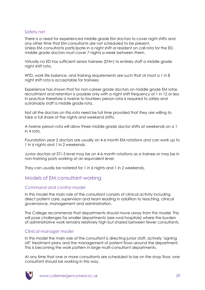#### Safety net

There is a need for experienced middle grade EM doctors to cover night shifts and any other time that EM consultants are not scheduled to be present. Unless EM consultants participate in a night shift or resident on call rota for the ED, middle grade doctors must cover 7 nights a week between them.

Virtually no ED has sufficient senior trainees (ST4+) to entirely staff a middle grade night shift rota.

WTD, work life balance, and training requirements are such that at most a 1 in 8 night shift rota is acceptable for trainees.

Experience has shown that for non-career grade doctors on middle grade EM rotas recruitment and retention is possible only with a night shift frequency of 1 in 12 or less In practice therefore a twelve to fourteen person rota is required to safely and sustainably staff a middle grade rota.

Not all the doctors on this rota need be full time provided that they are willing to take a full share of the nights and weekend shifts.

A twelve person rota will allow three middle grade doctor shifts at weekends on a 1 in 4 rota.

Foundation year 2 doctors are usually on 4-6 month EM rotations and can work up to 1 in 6 nights and 1 in 2 weekends.

Junior doctors at ST1-3 level may be on 4-6 month rotations as a trainee or may be in non-training posts working at an equivalent level.

They can usually be rostered for 1 in 6 nights and 1 in 2 weekends.

# Models of EM consultant working

#### *Command and control model*

In this model the main role of the consultant consists of clinical activity including direct patient care, supervision and team leading in addition to teaching, clinical governance, management and administration.

The College recommends that departments should move away from this model. This will pose challenges for smaller departments (see rural hospitals) where the burden of administrative work remains relatively high but shared between fewer consultants.

#### *Clinical manager model*

In this model the main role of the consultant is directing junior staff, actively "signing off" treatment plans and the management of patient flows around the department. This is becoming the work pattern in large multi-consultant departments.

At any time that one or more consultants are scheduled to be on the shop floor, one consultant should be working in this way.

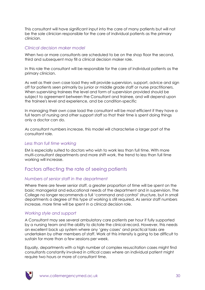This consultant will have significant input into the care of many patients but will not be the sole clinician responsible for the care of individual patients as the primary clinician.

#### *Clinical decision maker model*

When two or more consultants are scheduled to be on the shop floor the second, third and subsequent may fill a clinical decision maker role.

In this role the consultant will be responsible for the care of individual patients as the primary clinician.

As well as their own case load they will provide supervision, support, advice and sign off for patients seen primarily by junior or middle grade staff or nurse practitioners. When supervising trainees the level and form of supervision provided should be subject to agreement between the Consultant and trainee, and will depend upon the trainee's level and experience, and be condition-specific

In managing their own case load the consultant will be most efficient if they have a full team of nursing and other support staff so that their time is spent doing things only a doctor can do.

As consultant numbers increase, this model will characterise a larger part of the consultant role.

#### *Less than full time working*

EM is especially suited to doctors who wish to work less than full time. With more multi-consultant departments and more shift work, the trend to less than full time working will increase.

# Factors affecting the rate of seeing patients

#### *Numbers of senior staff in the department*

Where there are fewer senior staff, a greater proportion of time will be spent on the basic managerial and educational needs of the department and in supervision. The College no longer recommends a full "command and control" structure, but in small departments a degree of this type of working is still required. As senior staff numbers increase, more time will be spent in a clinical decision role.

#### *Working style and support*

A Consultant may see several ambulatory care patients per hour if fully supported by a nursing team and the ability to dictate the clinical record. However, this needs an excellent back up system where any "grey cases" and practical tasks are undertaken by other members of staff. Work at this intensity is going to be difficult to sustain for more than a few sessions per week.

Equally, departments with a high number of complex resuscitation cases might find consultants constantly involved in critical cases where an individual patient might require two hours or more of consultant time.

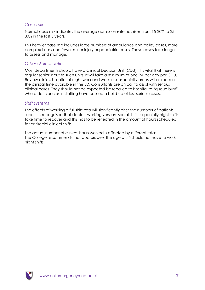#### *Case mix*

Normal case mix indicates the average admission rate has risen from 15-20% to 25- 30% in the last 5 years.

This heavier case mix includes large numbers of ambulance and trolley cases, more complex illness and fewer minor injury or paediatric cases. These cases take longer to assess and manage.

#### *Other clinical duties*

Most departments should have a Clinical Decision Unit (CDU). It is vital that there is regular senior input to such units. It will take a minimum of one PA per day per CDU. Review clinics, hospital at night work and work in subspecialty areas will all reduce the clinical time available in the ED. Consultants are on call to assist with serious clinical cases. They should not be expected be recalled to hospital to "queue bust" where deficiencies in staffing have caused a build-up of less serious cases.

#### *Shift systems*

The effects of working a full shift rota will significantly alter the numbers of patients seen. It is recognised that doctors working very antisocial shifts, especially night shifts, take time to recover and this has to be reflected in the amount of hours scheduled for antisocial clinical shifts.

The actual number of clinical hours worked is affected by different rotas. The College recommends that doctors over the age of 55 should not have to work night shifts.

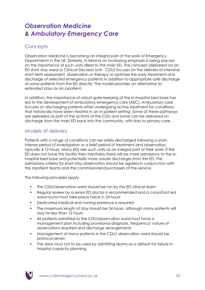# <span id="page-31-1"></span><span id="page-31-0"></span>*Observation Medicine & Ambulatory Emergency Care*

# **Concepts**

Observation Medicine is becoming an integral part of the work of Emergency Departments in the UK. Similarly, in Ireland an increasing emphasis is being placed on the importance of such units allied to the main ED. The concept (delivered on an ED short stay ward or Clinical Decision Unit - CDU) focuses on the delivery of intensive short-term assessment, observation or therapy to optimise the early treatment and discharge of selected emergency patients in addition to appropriate safe discharge of some patients from the ED directly. The model provides an alternative to extended stays as an inpatient.

In addition, the importance of robust gate-keeping of the in-hospital bed base has led to the development of ambulatory emergency care (AEC). Ambulatory care focuses on discharging patients whilst undergoing active treatment for conditions that historically have been treated in an in-patient setting. Some of these pathways are delivered as part of the activity of the CDU and some can be delivered on discharge from the main ED back into the community, with links to primary care.

# Models of delivery

Patients with a range of conditions can be safely discharged following a short, intense period of investigation or a brief period of treatment and observation, typically 4-12 hours. Many EDs see such units as an integral part of their work. If the ED does not have this facility then inevitably there will be more admissions to the inhospital bed base and potentially more unsafe discharges from the ED. The admissions criteria for short-stay observation should be agreed in conjunction with the inpatient teams and the commissioners/purchasers of the service.

The following principles apply:

- The CDU/observation ward should be run by the ED clinical team
- Regular review by a senior ED doctor is recommended and a consultant led ward round must take place twice in 24 hours
- Dedicated medical and nursing presence is required
- The maximum length of stay should be 24 hours, although many patients will stay for less than 12 hours
- All patients admitted to the CDU/observation ward must have a management plan including provisional diagnosis, frequency/ nature of observations required and discharge arrangements
- Management of many patients in the CDU/ observation ward should be protocol-driven
- The area must not to be used by admitting teams as a default for failure in hospital capacity planning.

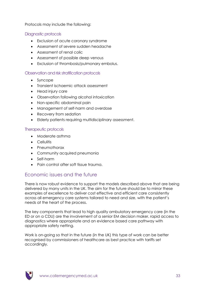Protocols may include the following:

#### Diagnostic protocols

- Exclusion of acute coronary syndrome
- Assessment of severe sudden headache
- Assessment of renal colic
- Assessment of possible deep venous
- Exclusion of thrombosis/pulmonary embolus.

#### Observation and risk stratification protocols

- Syncope
- Transient ischaemic attack assessment
- Head injury care
- Observation following alcohol intoxication
- Non-specific abdominal pain
- Management of self-harm and overdose
- Recovery from sedation
- Elderly patients requiring multidisciplinary assessment.

#### Therapeutic protocols

- Moderate asthma
- **•** Cellulitis
- Pneumothorax
- Community acquired pneumonia
- Self-harm
- Pain control after soft tissue trauma.

### Economic issues and the future

There is now robust evidence to support the models described above that are being delivered by many units in the UK. The aim for the future should be to mirror these examples of excellence to deliver cost effective and efficient care consistently across all emergency care systems tailored to need and size, with the patient"s needs at the heart of the process.

The key components that lead to high quality ambulatory emergency care (in the ED or on a CDU) are the involvement of a senior EM decision maker, rapid access to diagnostics where appropriate and an evidence based care pathway with appropriate safety netting.

Work is on-going so that in the future (in the UK) this type of work can be better recognised by commissioners of healthcare as best practice with tariffs set accordingly.

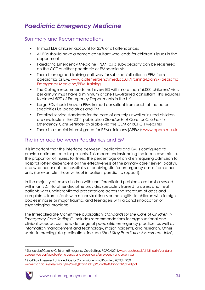# <span id="page-33-0"></span>*Paediatric Emergency Medicine*

# Summary and Recommendations

- In most EDs children account for 25% of all attendances
- All EDs should have a named consultant who leads for children"s issues in the department
- Paediatric Emergency Medicine (PEM) as a sub-specialty can be registered on the CCT of either paediatric or EM specialists
- There is an agreed training pathway for sub-specialisation in PEM from paediatrics or EM. [www.collemergencymed.ac.uk/Training-Exams/Paediatric](http://www.collemergencymed.ac.uk/Training-Exams/Paediatric%20Emergency%20Medicine/PEM%20Training/default.asp)  [Emergency Medicine/PEM Training](http://www.collemergencymed.ac.uk/Training-Exams/Paediatric%20Emergency%20Medicine/PEM%20Training/default.asp)
- The College recommends that every ED with more than 16,000 childrens" visits per annum must have a minimum of one PEM-trained consultant. This equates to almost 50% of Emergency Departments in the UK
- Large EDs should have a PEM trained consultant from each of the parent specialties i.e. paediatrics and EM
- Detailed service standards for the care of acutely unwell or injured children are available in the 2011 publication *Standards of Care for Children in Emergency Care Settings<sup>2</sup>* available via the CEM or RCPCH websites
- There is a special interest group for PEM clinicians (APEM): [www.apem.me.uk](http://www.apem.me.uk/)

# The interface between Paediatrics and EM

It is important that the interface between Paediatrics and EM is configured to provide optimum care for patients. This means understanding the local case mix i.e. the proportion of injuries to illness, the percentage of children requiring admission to hospital (often dependent on the effectiveness of the primary care "sieve" locally), and whether or not the hospital is a receiving site for emergency cases from other units (for example, those without in-patient paediatric support).

In the majority of cases children with undifferentiated problems are best assessed within an ED. No other discipline provides specialists trained to assess and treat patients with undifferentiated presentations across the spectrum of ages and complaints, from infants with minor viral illness or meningitis, to children with foreign bodies in noses or major trauma, and teenagers with alcohol intoxication or psychological problems.

The Intercollegiate Committee publication, *Standards for the Care of Children in Emergency Care Settings*2, includes recommendations for organisational and clinical issues across the wide range of paediatric emergency practice, as well as information management and technology, major incidents, and research. Other useful intercollegiate publications include *Short Stay Paediatric Assessment Units<sup>3</sup>* ,

<sup>3</sup> Short Stay Assessment Units – Advice for Commissioners and Providers, RCPCH 2009 [www.rcpch.ac.uk/sites/default/files/asset\\_library/Policy%20and%20Standards/SSPAU.pdf](http://www.rcpch.ac.uk/sites/default/files/asset_library/Policy%20and%20Standards/SSPAU.pdf)



1

<sup>2</sup> Standards of Care for Children in Emergency Care Settings, RCPCH 2011[, www.rcpch.ac.uk/child-health/standards](http://www.rcpch.ac.uk/child-health/standards-care/service-configuration/emergency-and-urgent-care/emergency-and-urgent-car)[care/service-configuration/emergency-and-urgent-care/emergency-and-urgent-car](http://www.rcpch.ac.uk/child-health/standards-care/service-configuration/emergency-and-urgent-care/emergency-and-urgent-car)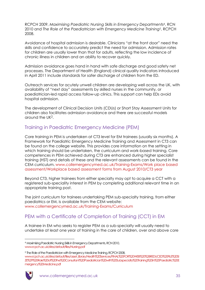RCPCH 2009, *Maximising Paediatric Nursing Skills in Emergency Departments<sup>4</sup>* , RCN 2010 and *The Role of the Paediatrician with Emergency Medicine Training<sup>5</sup>* , RCPCH 2008.

Avoidance of hospital admission is desirable. Clinicians "at the front door" need the skills and confidence to accurately predict the need for admission. Admission rates for children are usually lower than that for adults, reflecting the low incidence of chronic illness in children and an ability to recover quickly.

Admission avoidance goes hand in hand with safe discharge and good safety net processes. The Department of Health (England) clinical quality indicators introduced in April 2011 include standards for safer discharge of children from the ED.

Outreach services for acutely unwell children are developing well across the UK, with availability of "next day" assessments by skilled nurses in the community, or paediatrician-led rapid access follow-up clinics. This support can help EDs avoid hospital admission.

The development of Clinical Decision Units (CDUs) or Short Stay Assessment Units for children also facilitates admission avoidance and there are successful models around the UK2.

# Training in Paediatric Emergency Medicine (PEM)

Core training in PEM is undertaken at CT3 level for EM trainees (usually six months). A Framework for Paediatric Emergency Medicine Training and Assessment in CT3 can be found on the college website. This provides core information on the setting in which training should be undertaken, the curriculum and work-based training. Core competences in PEM achieved during CT3 are enhanced during higher specialist training (HST) and details of these and the relevant assessments can be found in the CEM curriculum. [www.collemergencymed.ac.uk/Training-Exams/Work place based](http://www.collemergencymed.ac.uk/Training-Exams/Work%20place%20based%20assessment/Workplace%20based%20assessment%20forms%20from%20August%202010/CT3%20year/default.asp)  [assessment/Workplace based assessment forms from August 2010/CT3 year](http://www.collemergencymed.ac.uk/Training-Exams/Work%20place%20based%20assessment/Workplace%20based%20assessment%20forms%20from%20August%202010/CT3%20year/default.asp)

Beyond CT3, higher trainees from either specialty may opt to acquire a CCT with a registered sub-speciality interest in PEM by completing additional relevant time in an appropriate training post.

The joint curriculum for trainees undertaking PEM sub-specialty training, from either paediatrics or EM, is available from the CEM website: [www.collemergencymed.ac.uk/Training-Exams/Curriculum](http://www.collemergencymed.ac.uk/Training-Exams/Curriculum/default.asp)

# PEM with a Certificate of Completion of Training (CCT) in EM

A trainee in EM who seeks to register PEM as a sub-specialty will usually need to undertake at least one year of training in the care of children, over and above core

<sup>5</sup> The Role of the Paediatrician with Emergency Medicine Training, RCPCH 2008, [www.rcpch.ac.uk/sites/default/files/asset\\_library/Health%20Services/FINAL%20FOR%20WEB%20%28REDUCED%20FILE%20SI](http://www.rcpch.ac.uk/sites/default/files/asset_library/Health%20Services/FINAL%20FOR%20WEB%20%28REDUCED%20FILE%20SIZE%29%20Role%20of%20the%20Consultant%20Paediatrician%20with%20Subspecialty%20Training%20in%20Paediatric%20Emergency%20Medicine.pdf) [ZE%29%20Role%20of%20the%20Consultant%20Paediatrician%20with%20Subspecialty%20Training%20in%20Paediatric%20E](http://www.rcpch.ac.uk/sites/default/files/asset_library/Health%20Services/FINAL%20FOR%20WEB%20%28REDUCED%20FILE%20SIZE%29%20Role%20of%20the%20Consultant%20Paediatrician%20with%20Subspecialty%20Training%20in%20Paediatric%20Emergency%20Medicine.pdf) [mergency%20Medicine.pdf](http://www.rcpch.ac.uk/sites/default/files/asset_library/Health%20Services/FINAL%20FOR%20WEB%20%28REDUCED%20FILE%20SIZE%29%20Role%20of%20the%20Consultant%20Paediatrician%20with%20Subspecialty%20Training%20in%20Paediatric%20Emergency%20Medicine.pdf)



1

<sup>4</sup> Maximising Paediatric Nursing Skills in Emergency Departments, RCN 2010, [www.rcpch.ac.uk/sites/default/files/Nursing.pdf](http://www.rcpch.ac.uk/sites/default/files/Nursing.pdf)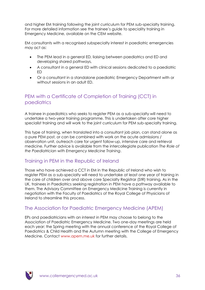and higher EM training following the joint curriculum for PEM sub-specialty training. For more detailed information see the trainee"s guide to speciality training in Emergency Medicine, available on the CEM website.

EM consultants with a recognised subspecialty interest in paediatric emergencies may act as:

- The PEM lead in a general ED, liaising between paediatrics and ED and developing shared pathways,
- A consultant in a general ED with clinical sessions dedicated to a paediatric ED
- Or a consultant in a standalone paediatric Emergency Department with or without sessions in an adult ED.

# PEM with a Certificate of Completion of Training (CCT) in paediatrics

A trainee in paediatrics who seeks to register PEM as a sub-specialty will need to undertake a two-year training programme. This is undertaken after core higher specialist training and will work to the joint curriculum for PEM sub-specialty training.

This type of training, when translated into a consultant job plan, can stand alone as a pure PEM post, or can be combined with work on the acute admissions / observation unit, outreach care for urgent follow-up, intensive care and retrieval medicine. Further advice is available from the intercollegiate publication *The Role of the Paediatrician with Emergency Medicine Training*.

# Training in PEM in the Republic of Ireland

Those who have achieved a CCT in EM in the Republic of Ireland who wish to register PEM as a sub-specialty will need to undertake at least one year of training in the care of children over and above core Specialty Registrar (StR) training. As in the UK, trainees in Paediatrics seeking registration in PEM have a pathway available to them. The Advisory Committee on Emergency Medicine Training is currently in negotiation with the Faculty of Paediatrics of the Royal College of Physicians of Ireland to streamline this process.

# The Association for Paediatric Emergency Medicine (APEM)

EPs and paediatricians with an interest in PEM may choose to belong to the Association of Paediatric Emergency Medicine. Two one-day meetings are held each year: the Spring meeting with the annual conference of the Royal College of Paediatrics & Child Health and the Autumn meeting with the College of Emergency Medicine. Contact [www.apem.me.uk](http://www.apem.me.uk/) for further details.

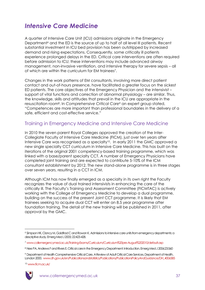# *Intensive Care Medicine*

A quarter of Intensive Care Unit (ICU) admissions originate in the Emergency Department<sup>6</sup> and the ED is the source of up to half of all level III patients. Recent substantial investment in ICU bed provision has been outstripped by increased demand and rising expectations. Consequently, some critically ill patients experience prolonged delays in the ED. Critical care interventions are often required before admission to ICU; these interventions may include advanced airway management, non-invasive ventilation, and intensive therapy for severe sepsis – all of which are within the curriculum for EM trainees<sup>7</sup>.

Changes in the work patterns of EM consultants, involving more direct patient contact and out-of-hours presence, have facilitated a greater focus on the sickest ED patients. The core objectives of the Emergency Physician and the intensivist – support of vital functions and correction of abnormal physiology – are similar. Thus, the knowledge, skills and attitudes that prevail in the ICU are appropriate in the resuscitation room<sup>8</sup> . In *Comprehensive Critical Care<sup>9</sup>* an expert group stated, "Competences are more important than professional boundaries in the delivery of a safe, efficient and cost-effective service."

#### Training in Emergency Medicine and Intensive Care Medicine

In 2010 the seven parent Royal Colleges approved the creation of the Inter-Collegiate Faculty of Intensive Care Medicine (FICM), just over ten years after Intensive Care was recognised as a specialty<sup>10</sup>. In early 2011 the GMC approved a new single specialty CCT curriculum in Intensive Care Medicine. This has built on the iterations of the original 2001 competency-based training programme, which was linked with a base/parent specialty CCT. A number of Emergency Physicians have completed joint training and are expected to contribute 5-10% of the ICM consultant establishment by 2012. The new stand-alone programme is in three stages over seven years, resulting in a CCT in ICM.

Although ICM has now finally emerged as a specialty in its own right the Faculty recognizes the value of dual trained intensivists in enhancing the care of the critically ill. The Faculty"s Training and Assessment Committee (FICMTAC) is actively working with the College of Emergency Medicine to develop a dual programme, building on the success of the present Joint CCT programme. It is likely that EM trainees seeking to acquire dual CCT will enter an 8.5 year programme after foundation training. The detail of the new training will be published in 2011, after approval by the GMC.

<sup>10</sup> [www.ficm.ac.uk/](http://www.ficm.ac.uk/)



<u>.</u>

<sup>6</sup> Simpson HK, Clancy M, Goldfrad C and Rowan K. Admissions to intensive care units from emergency departments: a descriptive study. Emerg Med J 2005; 22:423-428.

<sup>7</sup> [www.collemergencymed.ac.uk/Training-Exams/Curriculum/Curriculum%20pre-August%202010/default.asp](http://www.collemergencymed.ac.uk/Training-Exams/Curriculum/Curriculum%20pre-August%202010/default.asp)

<sup>8</sup> Nee PA, Andrews F and Rivers E. Critical care in the Emergency Department: Introduction. Emerg Med J 2006;23:560

<sup>9</sup> Department of Health Comprehensive Critical Care, A Review of Adult Critical Care Services. Department of Health, London 2000. [www.dh.gov.uk/en/Publicationsandstatistics/Publications/PublicationsPolicyAndGuidance/DH\\_4006585](http://www.dh.gov.uk/en/Publicationsandstatistics/Publications/PublicationsPolicyAndGuidance/DH_4006585)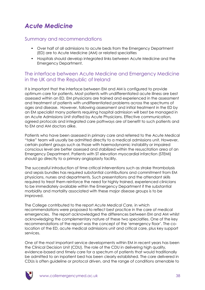# *Acute Medicine*

#### Summary and recommendations

- Over half of all admissions to acute beds from the Emergency Department (ED) are to Acute Medicine (AM) or related specialties
- Hospitals should develop integrated links between Acute Medicine and the Emergency Department.

#### The interface between Acute Medicine and Emergency Medicine in the UK and the Republic of Ireland

It is important that the interface between EM and AM is configured to provide optimum care for patients. Most patients with undifferentiated acute illness are best assessed within an ED. EM physicians are trained and experienced in the assessment and treatment of patients with undifferentiated problems across the spectrums of ages and disease. However, following assessment and initial treatment in the ED by an EM specialist many patients requiring hospital admission will best be managed in an Acute Admissions Unit staffed by Acute Physicians. Effective communication, agreed protocols and integrated care pathways are of benefit to such patients and to EM and AM doctors alike.

Patients who have been assessed in primary care and referred to the Acute Medical "take" team will usually be admitted directly to a medical admissions unit. However, certain patient groups such as those with haemodynamic instability or impaired conscious level are better assessed and stabilized within the resuscitation area of an Emergency Department. Patients with ST elevation myocardial infarction (STEMI) should go directly to a primary angioplasty facility.

The successful introduction of time critical interventions such as stroke thrombolysis and sepsis bundles has required substantial contributions and commitment from EM physicians, nurses and departments. Such presentations and the attendant skills required to treat them reinforce the need for highly trained, experienced clinicians to be immediately available within the Emergency Department if the substantial morbidity and mortality associated with these major disease groups is to be improved.

The College contributed to the report *Acute Medical Care,* in which recommendations were proposed to reflect best practice in the care of medical emergencies. The report acknowledged the differences between EM and AM whilst acknowledging the complementary nature of these two specialties. One of the key recommendations of the report was the concept of the "emergency floor". The colocation of the ED, acute medical admissions unit and critical care, plus key support services.

One of the most important service developments within EM in recent years has been the Clinical Decision Unit (CDU). The role of the CDU in delivering high quality, evidence-based and timely care for a spectrum of patients that would traditionally be admitted to an inpatient bed has been clearly established. The care delivered in CDUs is often guideline or protocol driven, and the range of conditions amenable to

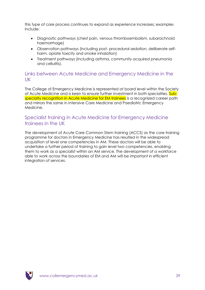this type of care process continues to expand as experience increases; examples include:

- Diagnostic pathways (chest pain, venous thromboembolism, subarachnoid haemorrhage)
- Observation pathways (including post- procedural sedation, deliberate selfharm, opiate toxicity and smoke inhalation)
- Treatment pathways (including asthma, community acquired pneumonia and cellulitis).

#### Links between Acute Medicine and Emergency Medicine in the UK

The College of Emergency Medicine is represented at board level within the Society of Acute Medicine and is keen to ensure further investment in both specialties. Subspecialty recognition in Acute Medicine for EM trainees is a recognized career path and mirrors the same in Intensive Care Medicine and Paediatric Emergency Medicine.

### Specialist training in Acute Medicine for Emergency Medicine trainees in the UK

The development of Acute Care Common Stem training (ACCS) as the core training programme for doctors in Emergency Medicine has resulted in the widespread acquisition of level one competencies in AM. These doctors will be able to undertake a further period of training to gain level two competencies, enabling them to work as a specialist within an AM service. The development of a workforce able to work across the boundaries of EM and AM will be important in efficient integration of services.

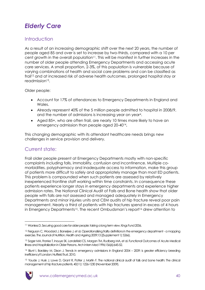# *Elderly Care*

### **Introduction**

As a result of an increasing demographic shift over the next 20 years, the number of people aged 85 and over is set to increase by two-thirds, compared with a 10 per cent growth in the overall population<sup>11</sup>. This will be manifest in further increases in the number of older people attending Emergency Departments and accessing acute care services. A small proportion, 2-3%, of this population is vulnerable because of varying combinations of health and social care problems and can be classified as frail<sup>12</sup> and at increased risk of adverse health outcomes, prolonged hospital stay or readmission<sup>13</sup>.

Older people:

- Account for 17% of attendances to Emergency Departments in England and Wales.
- Already represent 40% of the 5 million people admitted to hospital in 2008/9, and the number of admissions is increasing year on year<sup>4</sup>.
- Aged 85+, who are often frail, are nearly 10 times more likely to have an emergency admission than people aged 20-40<sup>14</sup> **.**

This changing demographic with its attendant healthcare needs brings new challenges in service provision and delivery.

### Current state:

Frail older people present at Emergency Departments mostly with non-specific complaints including falls, immobility, confusion and incontinence. Multiple comorbidities, polypharmacy and inadequate access to information, make this group of patients more difficult to safely and appropriately manage than most ED patients. This problem is compounded when such patients are assessed by relatively inexperienced frontline staff working within time constraints. In consequence these patients experience longer stays in emergency departments and experience higher admission rates. The National Clinical Audit of Falls and Bone health show that older people with falls are not assessed and managed adequately in Emergency Departments and minor injuries units and CEM audits of hip fracture reveal poor pain management. Nearly a third of patients with hip fractures spend in excess of 4 hours in Emergency Departments<sup>15</sup>. The recent Ombudsman's report<sup>16</sup> drew attention to

<sup>15</sup> Youde J, Husk J, Lowe D, Grant R, Potter J, Martin F. The national clinical audit of falls and bone health: The clinical management of hip fracture patients. 40(11): 1226-1230 (November 2009).



1

<sup>&</sup>lt;sup>11</sup> Wanless D. Securing good care for older people: taking a long term view. Kings Fund 2006.

<sup>12</sup> Ferguson C, Woodard J, Banerjee J, et al. Operationalising frailty definitions in the emergency department - a mapping exercise. The Journal of Nutrition, Health and Ageing 2009;13 ((Supplement 1): S266).

<sup>13</sup> Sager MA, Franke T, Inouye SK, Landefeld CS, Morgan TM, Rudberg MA, et al. Functional Outcomes of Acute Medical Illness and Hospitalization in Older Persons. Arch Intern Med 1996;156(6):645-52.

<sup>&</sup>lt;sup>14</sup> Blunt I, Bardsley M, Dixon J. Trends in emergency admissions in England 2004 – 2009: is greater efficiency breeding inefficiency? London: Nuffield Trust, 2010.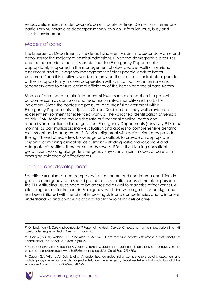serious deficiencies in older people"s care in acute settings. Dementia sufferers are particularly vulnerable to decompensation within an unfamiliar, loud, busy and stressful environment.

### Models of care:

The Emergency Department is the default single entry point into secondary care and accounts for the majority of hospital admissions. Given the demographic pressures and the economic climate it is crucial that the Emergency Department is appropriately supported in the management of older people. Multi-dimensional assessment and multi-agency management of older people leads to better outcomes<sup>17</sup> and it is intuitively sensible to provide the best care for frail older people at the first opportunity in close cooperation with clinical partners in primary and secondary care to ensure optimal efficiency of the health and social care system.

Models of care need to take into account issues such as impact on the patient, outcomes such as admission and readmission rates, mortality and morbidity indicators. Given the contesting pressures and stressful environment within Emergency Departments, adjacent Clinical Decision Units may well provide an excellent environment for extended workup. The validated Identification of Seniors at Risk (ISAR) tool<sup>18</sup> can reduce the rate of functional decline, death and readmission in patients discharged from Emergency Departments (sensitivity 94% at 6 months) as can multidisciplinary evaluation and access to comprehensive geriatric assessment and management<sup>19</sup>. Service alignment with geriatricians may provide the right blend of expertise, knowledge and outlook to provide an appropriate response combining clinical risk assessment with diagnostic management and adequate disposition. There are already several EDs in the UK using consultant geriatricians working alongside Emergency Physicians in joint models of care with emerging evidence of effectiveness.

## Training and development

Specific curriculum-based competencies for trauma and non-trauma conditions in geriatric emergency care should promote the specific needs of the older person in the ED. Attitudinal issues need to be addressed as well to maximise effectiveness. A pilot programme for trainees in Emergency Medicine with a geriatrics background has been initiated with the aim of improving skills and competencies and to improve understanding and communication to facilitate joint models of care.

<sup>19</sup> Caplan GA, Williams AJ, Daly B, et al. A randomized, controlled trial of comprehensive geriatric assessment and multidisciplinary intervention after discharge of elderly from the emergency department--the DEED II study. Journal of the American Geriatrics Society 2004;52(9):1417-23



1

<sup>16</sup> Ombudsman HS. Care and compassion? Report of the Health Service Ombudsman on ten investigations into NHS care of older people. In: Health Do,editor. London, 2011

<sup>17</sup> Stuck AE, Siu AL, Wieland GD, Rubenstein LZ, Adams J. Comprehensive geriatric assessment: a meta-analysis of controlled trials. The Lancet 1993;342(8878):1032-36.

<sup>18</sup> McCusker J BF, Cardin S, Trepanier S, Verdon J, Ardman O,. Detection of older people at increased risk of adverse health outcomes after an emergency visit: the ISAR screening tool. J Am Geriatr Soc 1999;47(10).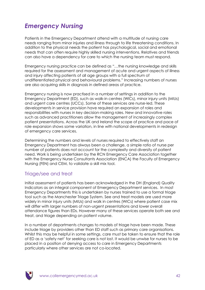# *Emergency Nursing*

Patients in the Emergency Department attend with a multitude of nursing care needs ranging from minor injuries and illness through to life threatening conditions. In addition to the physical needs the patient has psychological, social and emotional needs that can often require highly skilled nursing interventions. Relatives and friends can also have a dependency for care to which the nursing team must respond.

Emergency nursing practice can be defined as "…the nursing knowledge and skills required for the assessment and management of acute and urgent aspects of illness and injury affecting patients of all age groups with a full spectrum of undifferentiated physical and behavioural problems." Increasing numbers of nurses are also acquiring skills in diagnosis in defined areas of practice.

Emergency nursing is now practised in a number of settings in addition to the Emergency Department (ED), such as walk-in centres (WICs), minor injury units (MIUs) and urgent care centres (UCCs). Some of these services are nurse-led. These developments in service provision have required an expansion of roles and responsibilities with nurses in key decision-making roles. New and innovative roles such as advanced practitioners allow the management of increasingly complex patient presentations. Across the UK and Ireland the scope of practice and pace of role expansion shows some variation, in line with national developments in redesign of emergency care services.

Determining the numbers and levels of nurses required to effectively staff an Emergency Department has always been a challenge, a simple ratio of nurse per number of patients does not account for the complexity and diversity of patient need. Work is being undertaken by the RCN Emergency Care Association together with the Emergency Nurse Consultants Association (ENCA) the Faculty of Emergency Nursing (FEN) and CEM, to validate a skill mix tool.

#### Triage/see and treat

Initial assessment of patients has been acknowledged in the DH (England) Quality Indicators as an integral component of Emergency Department services. In most Emergency Departments this is undertaken by nurses trained to use a formal triage tool such as the Manchester Triage System. See and treat models are used more widely in minor injury units (MIUs) and walk in centres (WICs) where patient case mix will differ with larger numbers of non-urgent presentations and lower overall attendance figures than EDs. However many of these services operate both see and treat, and triage depending on patient volume.

In a number of departments changes to models of triage have been made. These include triage by providers other than ED staff such as primary care organisations. Whilst this may be helpful in some settings, care must be taken to ensure that the role of ED as a "safety net" for seeking care is not lost. It would be unwise for nurses to be placed in a position of denying access to care in Emergency Departments particularly where other services are not co-located.

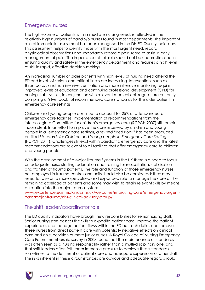#### Emergency nurses

The high volume of patients with immediate nursing needs is reflected in the relatively high numbers of band 5/6 nurses found in most departments. The important role of immediate assessment has been recognised in the DH ED Quality Indicators. This assessment helps to identify those with the most urgent need, record physiological observations and importantly record a pain score to assist in early management of pain. The importance of this role should not be underestimated in ensuring quality and safety in the emergency department and requires a high level of skill in rapid, effective decision-making.

An increasing number of older patients with high levels of nursing need attend the ED and levels of serious and critical illness are increasing. Interventions such as thrombolysis and non-invasive ventilation and more intensive monitoring require improved levels of education and continuing professional development (CPD) for nursing staff. Nurses, in conjunction with relevant medical colleagues, are currently compiling a "silver book" of recommended care standards for the older patient in emergency care settings.

Children and young people continue to account for 25% of attendances to emergency care facilities; implementation of recommendations from the intercollegiate Committee for children"s emergency care (RCPCH 2007) still remain inconsistent. In an effort to improve the care received by children and young people in all emergency care settings, a revised "Red Book" has been produced entitled *Standards for Children and Young people in Emergency Care Setting* (RCPCH 2011). Challenges still exist within paediatric emergency care and this latest recommendations are relevant to all facilities that offer emergency care to children and young people.

With the development of a Major Trauma Systems in the UK there is a need to focus on adequate nurse staffing, education and training for resuscitation, stabilisation and transfer of trauma patients. The role and function of those emergency nurses not employed in trauma centres and units should also be considered; they may need to take on a more specialised and expanded role to manage the care of the remaining caseload of patients and some may wish to retain relevant skills by means of rotation into the major trauma system.

[www.excellence.eastmidlands.nhs.uk/welcome/improving-care/emergency-urgent](http://www.excellence.eastmidlands.nhs.uk/welcome/improving-care/emergency-urgent-care/major-trauma/nhs-clinical-advisory-group/)[care/major-trauma/nhs-clinical-advisory-group/](http://www.excellence.eastmidlands.nhs.uk/welcome/improving-care/emergency-urgent-care/major-trauma/nhs-clinical-advisory-group/)

#### The shift leader/coordinator role

The ED quality indicators have brought new responsibilities for senior nursing staff. Senior nursing staff possess the skills to expedite patient care, improve the patient experience, and manage patient flows within the ED but such duties can remove these nurses from direct patient care with potentially negative effects on clinical care and on supervision of more junior nurses. A Royal College of Nursing Emergency Care Forum membership survey in 2008 found that the maintenance of standards was often seen as a nursing responsibility rather than a multi-disciplinary one, and that shift leaders often felt under immense pressure to achieve these standards sometimes to the detriment of patient care and adequate supervision of other staff. The risks inherent in these circumstances are obvious and adequate regard should

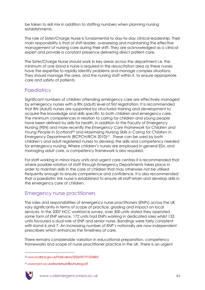be taken to skill mix in addition to staffing numbers when planning nursing establishments.

The role of Sister/Charge Nurse is fundamental to day-to-day clinical leadership. Their main responsibility is that of shift leader, overseeing and maintaining the effective management of nursing care during their shift. They are acknowledged as a clinical expert and provide a constant presence delivering direct patient care.

The Sister/Charge Nurse should work in key areas across the department i.e. the minimum of one band 6 nurse is required in the resuscitation area as these nurses have the expertise to rapidly identify problems and manage complex situations. They should manage the area, and the nursing staff within it, to ensure appropriate care and safety of patients.

#### **Paediatrics**

Significant numbers of children attending emergency care are effectively managed by emergency nurses with a RN (adult) level of first registration. It is recommended that RN (Adult) nurses are supported by structured training and development to acquire the knowledge and skills specific to both children and emergency care. The minimum competences in relation to caring for children and young people have been defined by skills for health, in addition to the Faculty of Emergency Nursing (FEN) and more recently the *Emergency Care Framework for Children and Young People in Scotland<sup>20</sup>* and *Maximising Nursing Skills in Caring for Children in Emergency Departments* (RCPCH/RCN 2010)<sup>21</sup> . These can be used by both children"s and adult registered nurses to develop the skills and competency needed for emergency nursing. Where children"s nurses are employed in general EDs, and managing adult care, a competency framework is also required.

For staff working in minor injury units and urgent care centres it is recommended that where possible rotation of staff through Emergency Departments takes place in order to maintain skills in the care of children that may otherwise not be utilised frequently enough to ensure competence and confidence. It is also recommended that a paediatric link nurse is established to ensure all staff retain and develop skills in the emergency care of children.

#### Emergency nurse practitioners

The roles and responsibilities of emergency nurse practitioners (ENPs) across the UK vary significantly in terms of scope of practice, grading and impact on local services. In the 2007 HCC workforce survey, over 300 units stated they operated some form of ENP service, 172 units had ENPs working in dedicated roles whilst 133 units favoured a dual role of ENP and senior nurse. Bandings were fairly consistent with band 6 and 7. An increasing number of ENP's nationally are now independent prescribers which enhances the timeliness of care.

There remains considerable variation in educational preparation, competency frameworks and scope of nurse practitioner practice in the UK. There is an urgent

<sup>21</sup> [www.rcpch.ac.uk/sites/default/files/Nursing.pdf](http://www.rcpch.ac.uk/sites/default/files/Nursing.pdf)



<u>.</u>

<sup>20</sup> [www.scotland.gov.uk/Publications/2006/09/19153348/0](http://www.scotland.gov.uk/Publications/2006/09/19153348/0)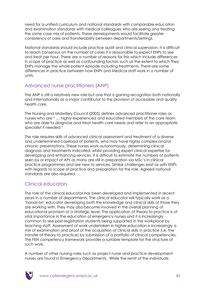need for a unified curriculum and national standards with comparable education and examination standards with medical colleagues who are seeing and treating the same case mix of patients. These developments would facilitate greater consistency of care and transferability between departments/settings.

National standards should include practice audit and clinical supervision. It is difficult to reach consensus on the number of cases it is reasonable to expect ENPs to see and treat per hour. There are a number of reasons for this which include differences in scope of practice as well as confounding factors such as the extent to which they ENPs manage the whole patient episode including treatments. There are some differences in practice between how ENPs and Medical staff work in a number of units.

#### Advanced nurse practitioners (ANP)

The ANP is still a relatively new role but one that is gaining recognition both nationally and internationally as a major contributor to the provision of accessible and quality health care.

The Nursing and Midwifery Council (2005) defines advanced practitioner roles as nurses who are " … highly experienced and educated members of the care team who are able to diagnose and treat health care needs and refer to an appropriate specialist if needed."

The role requires skills of advanced clinical assessment and treatment of a diverse and undetermined caseload of patients, who may have highly complex and/or chronic presentations. These nurses work autonomously, determining clinical diagnosis and treatments indicated, whilst providing expert clinical expertise for developing and enhancing services. It is difficult to estimate the numbers of patients seen by or impact of APs as many are still in preparation via MSc"s in clinical practice programmes and are new to services. Similar challenges exist as with ENPs with regards to scope of practice and preparation for the role. Agreed national standards are also required.

## Clinical educators

The role of the clinical educator has been developed and implemented in recent years in a number of departments. The clinical educator will typically work as a "hands-on" educator developing both the knowledge and clinical skills of those they are working with. They may also become involved in the overall planning of educational provision at a strategic level. The application of theory to practice is of vital importance in the education of emergency nurses and it is increasingly common to see post-registration students being supported in the workplace by teaching staff. Assessment of work undertaken in higher education is increasingly a mix of examination and proof of the acquisition of clinical skills in practice (i.e. the transfer of theory to practice) by submission of a portfolio of clinical competencies. The FEN competency framework provides a suitable template for the structure of such work.

A number of other nursing roles such as project nurse and practice development nurses are found in Emergency Departments. While the remit of the individuals

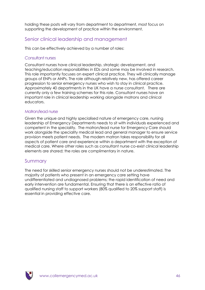holding these posts will vary from department to department, most focus on supporting the development of practice within the environment.

#### Senior clinical leadership and management

This can be effectively achieved by a number of roles:

#### *Consultant nurses*

Consultant nurses have clinical leadership, strategic development, and teaching/education responsibilities in EDs and some may be involved in research. This role importantly focuses on expert clinical practice. They will clinically manage groups of ENPs or ANPs. The role although relatively new, has offered career progression to senior emergency nurses who wish to stay in clinical practice. Approximately 40 departments in the UK have a nurse consultant. There are currently only a few training schemes for this role. Consultant nurses have an important role in clinical leadership working alongside matrons and clinical educators.

#### Matron/lead nurse

Given the unique and highly specialised nature of emergency care, nursing leadership of Emergency Departments needs to sit with individuals experienced and competent in the speciality. The matron/lead nurse for Emergency Care should work alongside the speciality medical lead and general manager to ensure service provision meets patient needs. The modern matron takes responsibility for all aspects of patient care and experience within a department with the exception of medical care. Where other roles such as consultant nurse co-exist clinical leadership elements are shared; the roles are complimentary in nature.

#### Summary

The need for skilled senior emergency nurses should not be underestimated. The majority of patients who present in an emergency care setting have undifferentiated and undiagnosed problems; the rapid identification of need and early intervention are fundamental. Ensuring that there is an effective ratio of qualified nursing staff to support workers (80% qualified to 20% support staff) is essential in providing effective care.

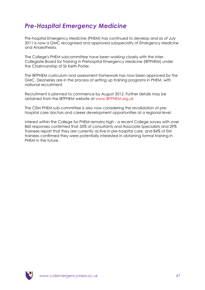# *Pre-Hospital Emergency Medicine*

Pre-hospital Emergency Medicine (PHEM) has continued to develop and as of July 2011 is now a GMC recognised and approved subspecialty of Emergency Medicine and Anaesthesia.

The College's PHEM subcommittee have been working closely with the Inter-Collegiate Board for Training in Prehospital Emergency Medicine (IBTPHEM) under the Chairmanship of Sir Keith Porter.

The IBTPHEM curriculum and assessment framework has now been approved by the GMC. Deaneries are in the process of setting up training programs in PHEM, with national recruitment.

Recruitment is planned to commence by August 2012. Further details may be obtained from the IBTPHEM website at [www.IBTPHEM.org.uk](http://www.ibtphem.org.uk/)

The CEM PHEM sub-committee is also now considering the revalidation of prehospital care doctors and career development opportunities at a regional level.

Interest within the College for PHEM remains high - a recent College survey with over 860 responses confirmed that 35% of consultants and Associate Specialists and 29% Trainees report that they are currently active in pre-hospital care, and 84% of EM trainees confirmed they were potentially interested in obtaining formal training in PHEM in the future.

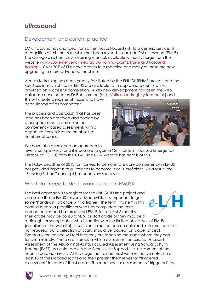# *Ultrasound*

## Development and current practice

EM ultrasound has changed from an enthusiast-based skill, to a generic service. In recognition of this the curriculum has been revised, to include EM ultrasound (EMUS) The College also has its own training manual, available without charge from the website [\(www.collemergencymed.ac.uk/Training-Exams/Training/Ultrasound](http://www.collemergencymed.ac.uk/Training-Exams/Training/Ultrasound%20training/)  [training\)](http://www.collemergencymed.ac.uk/Training-Exams/Training/Ultrasound%20training/). Over 70% of EDs have access to a machine and many of these are now upgrading to more advanced machines.

Access to training has been greatly facilitated by the ENLIGHTENME project, and the key 6 sessions which cover EMUS are available, with appropriate certification, provided on successful completion. A key new development has been the web database developed by Dr Bob Jarman [\(http://ultrasoundregistry.tees.ac.uk\)](http://ultrasoundregistry.tees.ac.uk/) and

this will create a register of those who have been signed off as competent.

The process and approach that has been used has been observed and copied by other specialties, in particular the competency based assessment, with a departure from insistence on absolute numbers of scans.

We have also developed an approach to



level 2 competency, and it is possible to gain a Certificate in Focused Emergency Ultrasound (CFEU) from the CEM. The CEM website has details of this.

The FCEM deadline of 2013 for trainees to demonstrate core competency in EMUS has provided impetus to all trainees to become level 1 proficient. As a result, the "Finishing School" concept has been very successful.

## What do I need to do if I want to train in FMUS?

The best approach is to register for the ENLIGHTENme project and complete the six EMUS sessions. Meanwhile it is important to get some "hands-on" practice with a trainer. The term "trainer" in this context means a practitioner who has completed the core competencies and has practiced EMUS for at least 6 months. Their grade may be consultant, ST or staff grade or they may be a radiologist or sonographer who is familiar with the limited objectives of EMUS (detailed on the website). If sufficient practice can be obtained, a formal course is not required, but a selection of scans should be logged (on paper or disc). Eventually the trainee will feel that they are reaching the stage where they can function reliably. There are 4 areas in which assessment occurs, i.e. Focused Assessment of the Abdominal Aorta, Focused Assessment using Sonography in Trauma (FAST), Vascular Access and Echo in Life Support (i.e. assessment of the heart in cardiac arrest). At this stage the trainee must write reflective notes on at least 10 of their logged scans and then present themselves for "triggered assessment" in each of the 4 areas. The readiness for assessment is "triggered" by



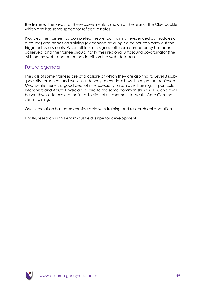the trainee. The layout of these assessments is shown at the rear of the CEM booklet, which also has some space for reflective notes.

Provided the trainee has completed theoretical training (evidenced by modules or a course) and hands-on training (evidenced by a log); a trainer can carry out the triggered assessments. When all four are signed off, core competency has been achieved, and the trainee should notify their regional ultrasound co-ordinator (the list is on the web) and enter the details on the web database.

#### Future agenda

The skills of some trainees are of a calibre at which they are aspiring to Level 3 (subspecialty) practice, and work is underway to consider how this might be achieved. Meanwhile there is a good deal of inter-specialty liaison over training. In particular Intensivists and Acute Physicians aspire to the same common skills as EP"s, and it will be worthwhile to explore the introduction of ultrasound into Acute Care Common Stem Training.

Overseas liaison has been considerable with training and research collaboration.

Finally, research in this enormous field is ripe for development.

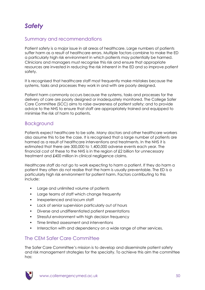# *Safety*

#### Summary and recommendations

Patient safety is a major issue in all areas of healthcare. Large numbers of patients suffer harm as a result of healthcare errors. Multiple factors combine to make the ED a particularly high risk environment in which patients may potentially be harmed. Clinicians and managers must recognise this risk and ensure that appropriate resources are invested in reducing the risk inherent in the ED and so improve patient safety.

It is recognised that healthcare staff most frequently make mistakes because the systems, tasks and processes they work in and with are poorly designed.

Patient harm commonly occurs because the systems, tasks and processes for the delivery of care are poorly designed or inadequately monitored. The College Safer Care Committee (SCC) aims to raise awareness of patient safety; and to provide advice to the NHS to ensure that staff are appropriately trained and equipped to minimise the risk of harm to patients.

#### Background

Patients expect healthcare to be safe. Many doctors and other healthcare workers also assume this to be the case. It is recognised that a large number of patients are harmed as a result of healthcare interventions and treatments. In the NHS it is estimated that there are 300,000 to 1,400,000 adverse events each year. The financial cost of these to the NHS is in the region of £2 billion for unnecessary treatment and £400 million in clinical negligence claims.

Healthcare staff do not go to work expecting to harm a patient. If they do harm a patient they often do not realise that the harm is usually preventable. The ED is a particularly high risk environment for patient harm. Factors contributing to this include:

- Large and unlimited volume of patients
- Large teams of staff which change frequently
- Inexperienced and locum staff
- Lack of senior supervision particularly out of hours
- Diverse and undifferentiated patient presentations
- Stressful environment with high decision frequency
- Time limited assessment and interventions
- Interaction with and dependency on a wide range of other services.

### The CEM Safer Care Committee

The Safer Care Committee"s mission is to develop and disseminate patient safety and risk management strategies for the specialty. To achieve this aim the committee has:

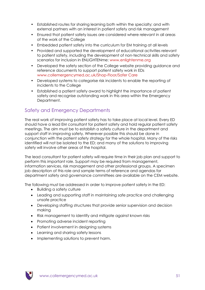- Established routes for sharing learning both within the specialty; and with external partners with an interest in patient safety and risk management
- Ensured that patient safety issues are considered where relevant in all areas of the work of the College
- Embedded patient safety into the curriculum for EM training at all levels
- Provided and supported the development of educational activities relevant to patient safety, including the development of non-technical skills and safety scenarios for inclusion in ENLIGHTENme: [www.enlightenme.org](http://www.enlightenme.org/)
- Developed the safety section of the College website providing guidance and reference documents to support patient safety work in EDs [www.collemergencymed.ac.uk/Shop-Floor/Safer Care](http://www.collemergencymed.ac.uk/Shop-Floor/Safer%20Care/default.asp)
- Developed systems to categorise risk incidents to enable the reporting of incidents to the College
- Established a patient safety award to highlight the importance of patient safety and recognise outstanding work in this area within the Emergency Department.

## Safety and Emergency Departments

The real work of improving patient safety has to take place at local level. Every ED should have a lead EM consultant for patient safety and hold regular patient safety meetings. The aim must be to establish a safety culture in the department and support staff in improving safety. Wherever possible this should be done in conjunction with the patient safety strategy for the whole hospital. Many of the risks identified will not be isolated to the ED; and many of the solutions to improving safety will involve other areas of the hospital.

The lead consultant for patient safety will require time in their job plan and support to perform this important role. Support may be required from management, information services, risk management and other professional groups. A specimen job description of this role and sample terms of reference and agendas for department safety and governance committees are available on the CEM website.

The following must be addressed in order to improve patient safety in the ED:

- Building a safety culture
- Leading and supporting staff in maintaining safe practice and challenging unsafe practice
- Developing staffing structures that provide senior supervision and decision making
- Risk management to identify and mitigate against known risks
- Promoting adverse incident reporting
- Patient involvement in designing systems
- Learning and sharing safety lessons
- Implementing solutions to prevent harm.

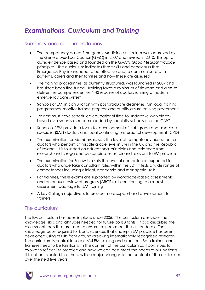# *Examinations, Curriculum and Training*

#### Summary and recommendations

- The competency based Emergency Medicine curriculum was approved by the General Medical Council (GMC) in 2007 and revised in 2010. It is up to date, evidence based and founded on the GMC"s *Good Medical Practice* principles. The curriculum indicates those skills and behaviours that Emergency Physicians need to be effective and to communicate with patients, carers and their families and how these are assessed
- The training programme, as currently structured, was launched in 2007 and has since been fine tuned. Training takes a minimum of six years and aims to deliver the competences the NHS requires of doctors running a modern emergency care system
- Schools of EM, in conjunction with postgraduate deaneries, run local training programmes, monitor trainee progress and quality assure training placements
- Trainers must have scheduled educational time to undertake workplacebased assessments as recommended by specialty schools and the GMC
- Schools of EM provide a focus for development of staff grade and associate specialist (SAS) doctors and local continuing professional development (CPD)
- The examination for Membership sets the level of competency expected for doctors who perform at middle grade level in EM in the UK and the Republic of Ireland. It is founded on educational principles and evidence from research and is regarded by candidates as fair and relevant to EM practice
- The examination for Fellowship sets the level of competence expected for doctors who undertake consultant roles within the ED. It tests a wide range of competences including clinical, academic and managerial skills
- For trainees, these exams are supported by workplace-based assessments and an annual review of progress (ARCP), all contributing to a robust assessment package for EM training
- A key College objective is to provide more support and development for trainers.

### The curriculum

The EM curriculum has been in place since 2006. The curriculum describes the knowledge, skills and attitudes needed for future consultants. It also describes the assessment tools that are used to ensure trainees meet these standards. The knowledge base required for basic sciences that underpin EM practice has been developed using results from ground-breaking internationally recognised research. The curriculum is central to successful EM training and practice. Both trainers and trainees need to be familiar with the content of the curriculum as it continues to evolve to reflect EM practice and how we can best meet the needs of our patients. It is not anticipated that there will be major changes to the content of the curriculum over the next five years.

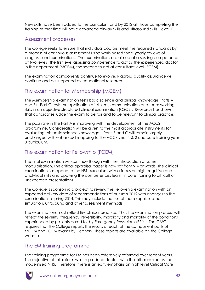New skills have been added to the curriculum and by 2012 all those completing their training at that time will have advanced airway skills and ultrasound skills (Level 1).

#### Assessment processes

The College seeks to ensure that individual doctors meet the required standards by a process of continuous assessment using work-based tools, yearly reviews of progress, and examinations. The examinations are aimed at assessing competence at two levels, the first level assessing competence to act as the experienced doctor in the department (MCEM), the second to act at consultant level (FCEM).

The examination components continue to evolve. Rigorous quality assurance will continue and be supported by educational research.

#### The examination for Membership (MCEM)

The Membership examination tests basic science and clinical knowledge (Parts A and B). Part C tests the application of clinical, communication and team working skills in an objective structured clinical examination (OSCE). Research has shown that candidates judge the exam to be fair and to be relevant to clinical practice.

The pass rate in the Part A is improving with the development of the ACCS programme. Consideration will be given to the most appropriate instruments for evaluating this basic science knowledge. Parts B and C will remain largely unchanged with enhanced mapping to the ACCS year 1 & 2 and core training year 3 curriculum.

### The examination for Fellowship (FCEM)

The final examination will continue though with the introduction of some modularisation. The critical appraisal paper is now sat from ST4 onwards. The clinical examination is mapped to the HST curriculum with a focus on high cognitive and analytical skills and applying the competences learnt in core training to difficult or unexpected presentations.

The College is sponsoring a project to review the Fellowship examination with an expected delivery date of recommendations of autumn 2012 with changes to the examination in spring 2014. This may include the use of more sophisticated simulation, ultrasound and other assessment methods.

The examinations must reflect EM clinical practice. Thus the examination process will reflect the severity, frequency, reversibility, morbidity and mortality of the conditions experienced by patients cared for by Emergency Physicians (EP"s). The GMC requires that the College reports the results of each of the component parts of MCEM and FCEM exams by Deanery. These reports are available on the College website.

### The EM training programme

The training programme for EM has been extensively reformed over recent years. The objective of this reform was to produce doctors with the skills required by the modernised NHS. Therefore, there is an early emphasis on high level Critical Care

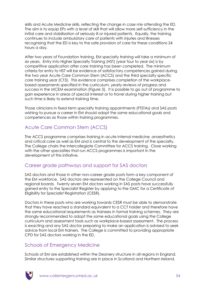skills and Acute Medicine skills, reflecting the change in case mix attending the ED. The aim is to equip EPs with a level of skill that will allow more self-sufficiency in the initial care and stabilisation of seriously ill or injured patients. Equally, the training continues to include ambulatory care of patients with injuries and illnesses recognising that the ED is key to the safe provision of care for these conditions 24 hours a day.

After two years of Foundation training, EM specialty training will take a minimum of six years. Entry into Higher Specialty Training (HST) (year four to year six) is by competitive application after core training has been completed. The minimum criteria for entry to HST will be evidence of satisfactory competences gained during the two year Acute Care Common Stem (ACCS) and the third specialty specific core training year (CT3). This evidence comprises completion of the workplacebased assessments specified in the curriculum, yearly reviews of progress and success in the MCEM examination (Figure 3). It is possible to go out of programme to gain experience in areas of special interest or to travel during higher training but such time is likely to extend training time.

Those clinicians in fixed-term specialty training appointments (FTSTAs) and SAS posts wishing to pursue a career in EM should adopt the same educational goals and competences as those within training programmes.

### Acute Care Common Stem (ACCS)

The ACCS programme comprises training in acute internal medicine, anaesthetics and critical care as well as EM and is central to the development of the specialty. The College chairs the Intercollegiate Committee for ACCS training. Close working with the other specialties that run ACCS programmes is important in the development of this initiative.

### Career grade pathways and support for SAS doctors

SAS doctors and those in other non-career grade posts form a key component of the EM workforce. SAS doctors are represented on the College Council and regional boards. Twenty seven EM doctors working in SAS posts have successfully gained entry to the Specialist Register by applying to the GMC for a Certificate of Eligibility for Specialist Registration (CESR).

Doctors in these posts who are working towards CESR must be able to demonstrate that they have reached a standard equivalent to a CCT holder and therefore have the same educational requirements as trainees in formal training schemes. They are strongly recommended to adopt the same educational goals using the College curriculum and assessment tools such as workplace-based assessment. The process is exacting and any SAS doctor preparing to make an application is advised to seek advice from local EM trainers. The College is committed to providing appropriate CPD for SAS doctors working in the ED.

### Schools of Emergency Medicine

Schools of EM are established within the Deanery structure in all regions in England. Similar structures supporting training are in place in Scotland and Northern Ireland.

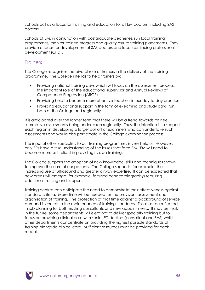Schools act as a focus for training and education for all EM doctors, including SAS doctors.

Schools of EM, in conjunction with postgraduate deaneries, run local training programmes, monitor trainee progress and quality assure training placements. They provide a focus for development of SAS doctors and local continuing professional development (CPD).

#### **Trainers**

The College recognises the pivotal role of trainers in the delivery of the training programme. The College intends to help trainers by:

- Providing national training days which will focus on the assessment process, the important role of the educational supervisor and Annual Reviews of Competence Progression (ARCP)
- Providing help to become more effective teachers in our day to day practice
- Providing educational support in the form of e-learning and study days, run both at the College and regionally.

It is anticipated over the longer term that there will be a trend towards trainee summative assessments being undertaken regionally. Thus, the intention is to support each region in developing a larger cohort of examiners who can undertake such assessments and would also participate in the College examination process.

The input of other specialists to our training programmes is very helpful. However, only EPs have a true understanding of the issues that face EM. EM will need to become more self-reliant in providing its own training.

The College supports the adoption of new knowledge, skills and techniques shown to improve the care of our patients. The College supports, for example, the increasing use of ultrasound and greater airway expertise. It can be expected that new areas will emerge (for example, focused echocardiography) requiring additional training and support.

Training centres can anticipate the need to demonstrate their effectiveness against standard criteria. More time will be needed for the provision, assessment and organisation of training. The protection of that time against a background of service demand is central to the maintenance of training standards. This must be reflected in job planning for both existing consultants and new appointments. It may be that, in the future, some departments will elect not to deliver specialty training but to focus on providing clinical care with senior ED doctors (consultant and SAS) whilst other departments concentrate on providing the highest possible standards of training alongside clinical care. Sufficient resources must be provided for each model.

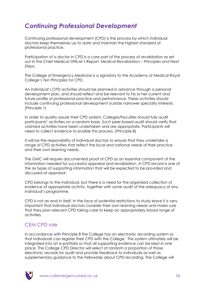# *Continuing Professional Development*

Continuing professional development (CPD) is the process by which individual doctors keep themselves up to date and maintain the highest standard of professional practice.

Participation of a doctor in CPD is a core part of the process of revalidation as set out in the Chief Medical Officer"s Report, *Medical Revalidation – Principles and Next Steps*.

The College of Emergency Medicine is a signatory to the Academy of Medical Royal College"s *Ten Principles for CPD*.

An individual"s CPD activities should be planned in advance through a personal development plan, and should reflect and be relevant to his or her current and future profile of professional practice and performance. These activities should include continuing professional development outside narrower specialty interests. (Principle 1)

In order to quality assure their CPD system, Colleges/Faculties should fully audit participants" activities on a random basis. Such peer-based audit should verify that claimed activities have been undertaken and are appropriate. Participants will need to collect evidence to enable this process. (Principle 8)

It will be the responsibility of individual doctors to ensure that they undertake a range of CPD activities that reflect the local and national needs of their practice and their own learning needs.

The GMC will require documented proof of CPD as an essential component of the information needed for successful appraisal and revalidation. A CPD record is one of the six types of supporting information that will be expected to be provided and discussed at appraisal.

CPD belongs to the individual, but there is a need for the organised collection of evidence of appropriate activity, together with some audit of the adequacy of any individual"s programme.

CPD is not an end in itself. In the face of potential restrictions to study leave it is very important that individual doctors consider their own learning needs and make sure that they plan relevant CPD taking care to keep an appropriately broad range of activities.

## CEM CPD role

In accordance with Principle 8 the College has an electronic recording system so that individuals can register their CPD with the College. This system ultimately will be integrated into an e-portfolio so that all supporting evidence can be kept in one place. The College CPD Director will select at random a proportion of those electronic records for audit and provide feedback to individuals as well as supplementary guidance to the Fellowship about CPD recording. The College will

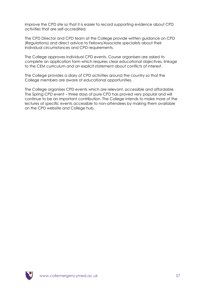improve the CPD site so that it is easier to record supporting evidence about CPD activities that are self-accredited.

The CPD Director and CPD team at the College provide written guidance on CPD (Regulations) and direct advice to Fellows/Associate specialists about their individual circumstances and CPD requirements.

The College approves individual CPD events. Course organisers are asked to complete an application form which requires clear educational objectives, linkage to the CEM curriculum and an explicit statement about conflicts of interest.

The College provides a diary of CPD activities around the country so that the College members are aware of educational opportunities.

The College organises CPD events which are relevant, accessible and affordable. The Spring CPD event – three days of pure CPD has proved very popular and will continue to be an important contribution. The College intends to make more of the lectures at specific events accessible to non-attendees by making them available on the CPD website and College hub.

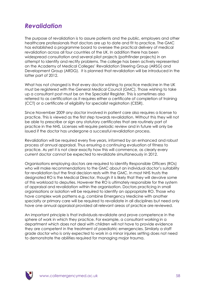# *Revalidation*

The purpose of revalidation is to assure patients and the public, employers and other healthcare professionals that doctors are up to date and fit to practice. The GMC has established a programme board to oversee the practical delivery of medical revalidation across all four countries of the UK. In addition there has been widespread consultation and several pilot projects (pathfinder projects) in an attempt to identify and rectify problems. The college has been actively represented on the Academy of Medical Colleges" Revalidation Steering Group (ARSG) and Development Group (ARDG). It is planned that revalidation will be introduced in the latter part of 2012.

What has not changed is that every doctor wishing to practice medicine in the UK must be registered with the General Medical Council (GMC). Those wishing to take up a consultant post must be on the Specialist Register. This is sometimes also referred to as certification as it requires either a certificate of completion of training (CCT) or a certificate of eligibility for specialist registration (CESR).

Since November 2009 any doctor involved in patient care also requires a license to practice. This is viewed as the first step towards revalidation. Without this they will not be able to prescribe or sign any statutory certificates that are routinely part of practice in the NHS. Licenses will require periodic review and in future will only be issued if the doctor has undergone a successful revalidation process.

Revalidation will be required every five years, informed by an enhanced and robust process of annual appraisal. Thus ensuring a continuing evaluation of fitness to practice. As yet it is not clear exactly how this will commence, as clearly every current doctor cannot be expected to revalidate simultaneously in 2012.

Organisations employing doctors are required to identify Responsible Officers (ROs) who will make recommendations to the GMC about an individual doctor"s suitability for revalidation but the final decision rests with the GMC. In most NHS trusts the designated RO is the Medical Director, though it is likely that they will devolve some of this workload to deputies. However the RO is ultimately responsible for the system of appraisal and revalidation within the organisation. Doctors practicing in small organisations or isolation will be required to identify an appropriate RO. Those who have complex work patterns e.g. combine Emergency Medicine with another specialty or primary care will be required to revalidate in all disciplines but need only have one annual appraisal provided all relevant areas of practice are reviewed.

An important principle is that individuals revalidate and prove competence in the sphere of work in which they practice. For example, a consultant working in a department which does not deal with children will not have to provide evidence they are competent in the treatment of paediatric emergencies. Similarly a staff grade doctor who is only expected to work in a minor injuries setting does not need to demonstrate the abilities required for managing major trauma.

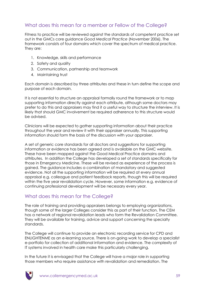### What does this mean for a member or Fellow of the College?

Fitness to practice will be reviewed against the standards of competent practice set out in the GMCs core guidance *Good Medical Practice* (November 2006). The framework consists of four domains which cover the spectrum of medical practice. They are:

- 1. Knowledge, skills and performance
- 2. Safety and quality
- 3. Communication, partnership and teamwork
- 4. Maintaining trust

Each domain is described by three attributes and these in turn define the scope and purpose of each domain.

It is not essential to structure an appraisal formally round the framework or to map supporting information directly against each attribute, although some doctors may prefer to do this and appraisers may find it a useful way to structure the interview. It is likely that should GMC involvement be required adherence to this structure would be advised.

Clinicians will be expected to gather supporting information about their practice throughout the year and review it with their appraiser annually. This supporting information should form the basis of the discussion with your appraiser.

A set of generic core standards for all doctors and suggestions for supporting information or evidence has been agreed and is available on the GMC website. These have been mapped against the Good Medical Practice domains and attributes. In addition the College has developed a set of standards specifically for those in Emergency Medicine. These will be revised as experience of the process is gained. The guidance includes a combination of mandatory and suggested evidence. Not all the supporting information will be required at every annual appraisal e.g. colleague and patient feedback reports, though this will be required within the five year revalidation cycle. However, some information e.g. evidence of continuing professional development will be necessary every year.

### What does this mean for the College?

The role of training and providing appraisers belongs to employing organizations, though some of the larger Colleges consider this as part of their function. The CEM has a network of regional revalidation leads who form the Revalidation Committee. They will be available for training, advice and support concerning the specialty standards.

The College will continue to provide an electronic recording service for CPD and ENLIGHTENME as an e-learning source. There is on-going work to develop a specialist e-portfolio for collection of additional information and evidence. The complexity of IT systems involved in health care make this particularly challenging.

In the future it is envisaged that the College will have a major role in supporting those members who require assistance with revalidation and remediation. The

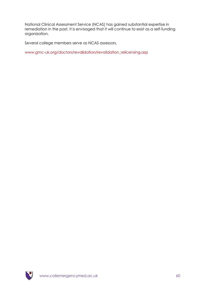National Clinical Assessment Service (NCAS) has gained substantial expertise in remediation in the past. It is envisaged that it will continue to exist as a self-funding organization.

Several college members serve as NCAS assessors.

[www.gmc-uk.org/doctors/revalidation/revalidation\\_relicensing.asp](http://www.gmc-uk.org/doctors/revalidation/revalidation_relicensing.asp)

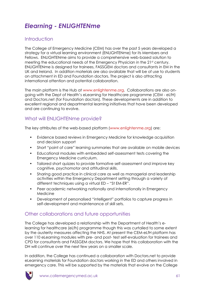# *Elearning - ENLIGHTENme*

### **Introduction**

The College of Emergency Medicine (CEM) has over the past 5 years developed a strategy for a virtual learning environment (ENLIGHTENme) for its Members and Fellows. ENLIGHTENme aims to provide a comprehensive web-based solution to meeting the educational needs of the Emergency Physician in the 21st century. ENLIGHTENme is designed for trainees, FASSGEM doctors and consultants in EM in the UK and Ireland. In addition materials are also available that will be of use to students on attachment in ED and Foundation doctors. The project is also attracting international attention and potential collaboration.

The main platform is the Hub at [www.enlightenme.org.](http://www.enlightenme.org/) Collaborations are also ongoing with the Dept of Health"s eLearning for Healthcare programme (CEM - eLfH) and Doctors.net (for Foundation doctors). These developments are in addition to excellent regional and departmental learning initiatives that have been developed and are continuing to evolve.

### What will ENLIGHTENme provide?

The key attributes of the web-based platform [\(www.enlightenme.org\)](http://www.enlightenme.orgb/) are:

- Evidence based reviews in Emergency Medicine for knowledge acquisition and decision support
- Short "point of care" learning summaries that are available on mobile devices
- Educational modules with embedded self-assessment tests covering the Emergency Medicine curriculum.
- Tailored short quizzes to provide formative self-assessment and improve key cognitive, psychomotor and attitudinal skills.
- Sharing good practice in clinical care as well as managerial and leadership activities within the Emergency Department setting through a variety of different techniques using a virtual ED – "St EM-ER".
- Peer academic networking nationally and internationally in Emergency Medicine
- Development of personalised "intelligent" portfolios to capture progress in self-development and maintenance of skill sets.

### Other collaborations and future opportunities

The College has developed a relationship with the Department of Health"s elearning for healthcare (eLfh) programme though this was curtailed to some extent by the austerity measures affecting the NHS. At present the CEM-eLfH platform has over 110 eLearning modules with pre- and post- test self-evaluation for trainees and CPD for consultants and FASSGEM doctors. We hope that this collaboration with the DH will continue over the next few years on a smaller scale.

In addition, the College has continued a collaboration with Doctors.net to provide eLearning materials for Foundation doctors working in the ED and others involved in emergency care. This will be supported by the materials that evolve on the College

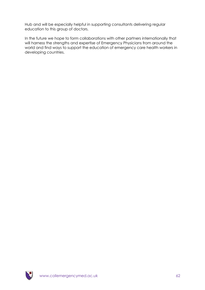Hub and will be especially helpful in supporting consultants delivering regular education to this group of doctors.

In the future we hope to form collaborations with other partners internationally that will harness the strengths and expertise of Emergency Physicians from around the world and find ways to support the education of emergency care health workers in developing countries.

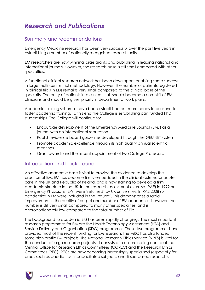# *Research and Publications*

#### Summary and recommendations

Emergency Medicine research has been very successful over the past five years in establishing a number of nationally recognised research units.

EM researchers are now winning large grants and publishing in leading national and international journals. However, the research base is still small compared with other specialties.

A functional clinical research network has been developed, enabling some success in large multi-centre trial methodology. However, the number of patients registered in clinical trials in EDs remains very small compared to the clinical base of the specialty. The entry of patients into clinical trials should become a core skill of EM clinicians and should be given priority in departmental work plans.

Academic training schemes have been established but more needs to be done to foster academic training. To this end the College is establishing part funded PhD studentships. The College will continue to:

- Encourage development of the Emergency Medicine Journal (EMJ) as a journal with an international reputation
- Publish evidence-based guidelines developed through the GEMNET system
- Promote academic excellence through its high quality annual scientific meetings
- Grant awards and the recent appointment of two College Professors.

#### Introduction and background

An effective academic base is vital to provide the evidence to develop the practice of EM. EM has become firmly embedded in the clinical systems for acute care in the UK and Republic of Ireland, and is now starting to develop a firm academic structure in the UK. In the research assessment exercise (RAE) in 1999 no Emergency Physicians (EPs) were "returned" by UK universities. In RAE 2008 six academics in EM were included in the "returns". This demonstrates a rapid improvement in the quality of output and number of EM academics; however, the number is still very small compared to many other specialties, and is disproportionately low compared to the total number of EPs.

The background to academic EM has been rapidly changing. The most important research programmes for EM are the Health Technology Assessment (HTA) and Service Delivery and Organisation (SDO) programmes. These two programmes have provided most of the recent funding for EM research. The MRC has also funded some high profile EM projects. The National Research Ethics Service (NRES) is vital for the conduct of large research projects. It consists of a co-ordinating centre at the Central Office for Research Ethics Committees (COREC) and the Research Ethics Committees (REC). RECs are now becoming increasingly specialised (especially for areas such as paediatrics, incapacitated subjects, and tissue-based research).

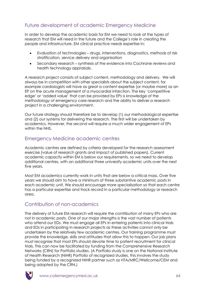## Future development of academic Emergency Medicine

In order to develop the academic basis for EM we need to look at the types of research that EM will need in the future and the College"s role in creating the people and infrastructure. EM clinical practice needs expertise in:

- Evaluation of technologies drugs, interventions, diagnostics, methods of risk stratification, service delivery and organisation
- Secondary research synthesis of the evidence into Cochrane reviews and health technology appraisals.

A research project consists of subject content, methodology and delivery. We will always be in competition with other specialists about the subject content, for example cardiologists will have as great a content expertise (or maybe more) as an EP on the acute management of a myocardial infarction. The key "competitive edge" or "added value" that can be provided by EPs is knowledge of the methodology of emergency care research and the ability to deliver a research project in a challenging environment.

Our future strategy should therefore be to develop (1) our methodological expertise and (2) our systems for delivering the research. The first will be undertaken by academics. However, the second will require a much wider engagement of EPs within the NHS.

#### Emergency Medicine academic centres

Academic centres are defined by criteria developed for the research assessment exercise (value of research grants and impact of published papers). Current academic capacity within EM is below our requirements, so we need to develop additional centres, with an additional three university academic units over the next five years.

Most EM academics currently work in units that are below a critical mass. Over five years we should aim to have a minimum of three substantive academic posts in each academic unit. We should encourage more specialisation so that each centre has a particular expertise and track record in a particular methodology or research area.

## Contribution of non-academics

The delivery of future EM research will require the contribution of many EPs who are not in academic posts. One of our major strengths is the vast number of patients who attend our EDs. We must engage all EPs in entering patients into clinical trials and EDs in participating in research projects as these activities cannot only be undertaken by the relatively few academic centres. Our training programme must provide the knowledge, skills and attitudes that allow this to happen. Our job plans must recognise that most EPs should devote time to patient recruitment for clinical trials. This can now be facilitated by funding from the Comprehensive Research Networks (CRN) for Portfolio studies. (A Portfolio study is one on the National Institute of Health Research (NIHR) Portfolio of recognized studies, this involves the study being funded by a recognized NIHR partner such as HTA/MRC/Wellcome/CEM and being adopted by the CRN.)

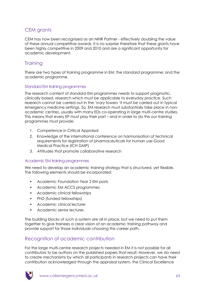## CEM grants

CEM has now been recognized as an NIHR Partner - effectively doubling the value of these annual competitive awards. It is no surprise therefore that these grants have been highly competitive in 2009 and 2010 and are a significant opportunity for academic development.

### **Training**

There are two types of training programme in EM; the standard programme; and the academic programme.

#### Standard EM training programmes

The research content of standard EM programmes needs to support pragmatic, clinically based, research which must be applicable to everyday practice. Such research cannot be carried out in the "ivory towers "it must be carried out in typical emergency medicine settings. So, EM research must substantially take place in nonacademic centres, usually with many EDs co-operating in large multi-centre studies. This means that every EP must play their part – and in order to do this our training programmes must provide:

- 1. Competence in Critical Appraisal
- 2. Knowledge of the international conference on harmonisation of technical requirements for registration of pharmaceuticals for human use-Good Medical Practice (ICH GMP)
- 3. Attitudes that promote collaborative research

#### Academic EM training programmes

We need to develop an academic training strategy that is structured, yet flexible. The following elements should be incorporated:

- Academic Foundation Year 2 EM posts
- Academic EM ACCS programmes
- Academic clinical fellowships
- PhD (funded fellowships)
- Academic clinical lecturer
- Academic senior lecturer.

The building blocks of such a system are all in place, but we need to put them together to give trainees a clear vision of an academic training pathway and provide support for those individuals choosing this career path.

## Recognition of academic contribution

For the large multi-centre research projects needed in EM it is not possible for all contributors to be authors on the published papers that result. However, we do need to create mechanisms by which all participants in research projects can have their contribution acknowledged through the appraisal system, the Clinical Excellence

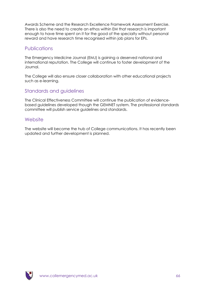Awards Scheme and the Research Excellence Framework Assessment Exercise. There is also the need to create an ethos within EM that research is important enough to have time spent on it for the good of the specialty without personal reward and have research time recognised within job plans for EPs.

#### Publications

The Emergency Medicine Journal (EMJ) is gaining a deserved national and international reputation. The College will continue to foster development of the Journal.

The College will also ensure closer collaboration with other educational projects such as e-learning.

#### Standards and guidelines

The Clinical Effectiveness Committee will continue the publication of evidencebased guidelines developed though the GEMNET system. The professional standards committee will publish service guidelines and standards.

#### **Website**

The website will become the hub of College communications. It has recently been updated and further development is planned.

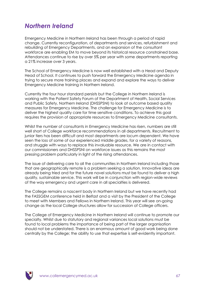# *Northern Ireland*

Emergency Medicine in Northern Ireland has been through a period of rapid change. Currently reconfiguration, of departments and services, refurbishment and rebuilding of Emergency Departments, and an expansion of the consultant workforce are enabling EM to move beyond its historical resource constrained base. Attendances continue to rise by over 5% per year with some departments reporting a 21% increase over 3 years.

The School of Emergency Medicine is now well established with a Head and Deputy Head of School. It continues to push forward the Emergency Medicine agenda in trying to secure more training places and expand and explore the ways to deliver Emergency Medicine training in Northern Ireland.

Currently the four hour standard persists but the College in Northern Ireland is working with the Patient Safety Forum of the Department of Health, Social Services and Public Safety, Northern Ireland (DHSSPSNI) to look at outcome based quality measures for Emergency Medicine. The challenge for Emergency Medicine is to deliver the highest quality care for time sensitive conditions. To achieve this goal requires the provision of appropriate resources to Emergency Medicine consultants.

Whilst the number of consultants in Emergency Medicine has risen, numbers are still well short of College workforce recommendations in all departments. Recruitment to junior tiers has been difficult and most departments are locum dependent. We have seen the loss of some of our experienced middle grades, for a variety of reasons, and struggle with ways to replace this invaluable resource. We are in contact with our commissioners and DHSSPSNI on workforce issues as this remains the most pressing problem particularly in light of the rising attendances.

The issue of delivering care to all the communities in Northern Ireland including those that are geographically remote is a problem seeking a solution. Innovative ideas are already being tried and for the future novel solutions must be found to deliver a high quality, sustainable service. This work will be in conjunction with region-wide reviews of the way emergency and urgent care in all specialties is delivered.

The College remains a nascent body in Northern Ireland but we have recently had the FASSGEM conference held in Belfast and a visit by the President of the College to meet with Members and Fellows in Northern Ireland. This year will see on-going change as the local College structures allow for succession of College officers.

The College of Emergency Medicine in Northern Ireland will continue to promote our specialty. Whilst due to statutory and regional variances local solutions must be found to local problems the importance of being part of the larger organisation should not be understated. There is an enormous amount of good work being done centrally by the College; the ability to use that expertise is self-evidently important.

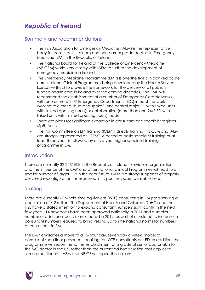# *Republic of Ireland*

#### Summary and recommendations

- The Irish Association for Emergency Medicine (IAEM) is the representative body for consultants, trainees and non-career grade doctors in Emergency Medicine (EM) in the Republic of Ireland
- The National Board for Ireland of the College of Emergency Medicine (NBICEM) works very closely with IAEM to further the development of emergency medicine in Ireland
- The Emergency Medicine Programme (EMP) is one the five clinician-led acute care National Clinical Programmes being developed by the Health Service Executive (HSE) to provide the framework for the delivery of all publiclyfunded health care in Ireland over the coming decades. The EMP will recommend the establishment of a number of Emergency Care Networks, with one or more 24/7 Emergency Departments (EDs) in each network, working to either a "hub-and-spoke" (one central major ED with linked units with limited opening hours) or collaborative (more than one 24/7 ED with linked units with limited opening hours) model
- There are plans for significant expansion in consultant and specialist registrar (SpR) posts
- The Irish Committee on EM Training (ICEMT) directs training. NBICEM and IAEM are strongly represented on ICEMT. A period of basic specialist training of at least three years is followed by a five-year higher specialist training programme in EM.

### Introduction

There are currently 32 24/7 EDs in the Republic of Ireland. Service re-organisation and the influence of the EMP and other national Clinical Programmes will lead to a smaller number of larger EDs in the near future. IAEM is a strong supporter of properly delivered reconfiguration, as espoused in its position paper available here.

## **Staffing**

There are currently 62 whole-time equivalent (WTE) consultants in EM posts serving a population of 4.2 million. The Department of Health and Children (DoHC) and the HSE have a stated intention to expand consultant numbers significantly in the next few years. 14 new posts have been approved nationally in 2011 and a smaller number of additional posts is anticipated in 2012, as part of a systematic increase in consultant numbers required to bring Ireland up to international norms for numbers of consultants in EM.

The EMP envisages a move to a 12-hour day, seven day a week, model of consultant shop floor presence, requiring ten WTE consultants per ED. In addition, the programme will recommend the establishment of a grade of senior doctor akin to the SAS doctor in the UK, rather than the current ad hoc situation that applies to some practitioners. IAEM and NBICEM support these plans.

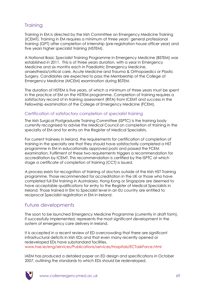## **Training**

Training in EM is directed by the Irish Committee on Emergency Medicine Training (ICEMT). Training in EM requires a minimum of three years" general professional training (GPT) after completion of Internship (pre-registration house officer year) and five years higher specialist training (HSTEM).

A National Basic Specialist Training Programme in Emergency Medicine (BSTEM) was established in 2011. This is of three years duration, with a year in Emergency Medicine and six months each in Paediatric Emergency Medicine, anaesthesia/critical care, Acute Medicine and Trauma & Orthopaedics or Plastic Surgery. Candidates are expected to pass the Membership of the College of Emergency Medicine (MCEM) examination during BSTEM.

The duration of HSTEM is five years, of which a minimum of three years must be spent in the practice of EM on the HSTEM programme. Completion of training requires a satisfactory record of in-training assessment (RITA) from ICEMT and success in the Fellowship examination of the College of Emergency Medicine (FCEM).

#### Certification of satisfactory completion of specialist training

The Irish Surgical Postgraduate Training Committee (ISPTC) is the training body currently recognised to advise the Medical Council on completion of training in the specialty of EM and for entry on the Register of Medical Specialists.

For current trainees in Ireland, the requirements for certification of completion of training in the specialty are that they should have satisfactorily completed a HST programme in EM in educationally approved posts and passed the FCEM examination. Fulfilment of these two requirements triggers a recommendation for accreditation by ICEMT. This recommendation is certified by the ISPTC at which stage a certificate of completion of training (CCT) is issued.

A process exists for recognition of training of doctors outside of the Irish HST Training programme. Those recommended for accreditation in the UK or those who have completed full EM training in Australasia, Hong Kong or Singapore are deemed to have acceptable qualifications for entry to the Register of Medical Specialists in Ireland. Those trained in EM to Specialist level in an EU country are entitled to reciprocal Specialist registration in EM in Ireland.

### Future developments

The soon to be launched Emergency Medicine Programme (currently in draft form), if successfully implemented, represents the most significant development in the system of emergency care delivery in Ireland.

It is accepted in a recent review of ED overcrowding that there are significant infrastructural deficits in Irish EDs and that even many recently opened or redeveloped EDs have substandard facilities. [www.hse.ie/eng/services/Publications/services/Hospitals/ECTaskForce.html](http://www.hse.ie/eng/services/Publications/services/Hospitals/ECTaskForce.html)

IAEM has produced a detailed paper on ED design and specifications in October 2007, outlining the standards to which EDs should be redeveloped.

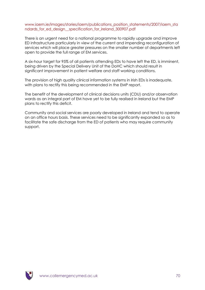#### [www.iaem.ie/images/stories/iaem/publications\\_position\\_statements/2007/iaem\\_sta](http://www.iaem.ie/images/stories/iaem/publications_position_statements/2007/iaem_standards_for_ed_design__specification_for_ireland_300907.pdf) ndards for ed design specification for ireland 300907.pdf

There is an urgent need for a national programme to rapidly upgrade and improve ED infrastructure particularly in view of the current and impending reconfiguration of services which will place greater pressures on the smaller number of departments left open to provide the full range of EM services.

A six-hour target for 95% of all patients attending EDs to have left the ED, is imminent, being driven by the Special Delivery Unit of the DoHC which should result in significant improvement in patient welfare and staff working conditions.

The provision of high quality clinical information systems in Irish EDs is inadequate, with plans to rectify this being recommended in the EMP report.

The benefit of the development of clinical decisions units (CDU) and/or observation wards as an integral part of EM have yet to be fully realised in Ireland but the EMP plans to rectify this deficit.

Community and social services are poorly developed in Ireland and tend to operate on an office hours basis. These services need to be significantly expanded so as to facilitate the safe discharge from the ED of patients who may require community support.

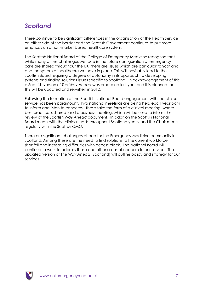# *Scotland*

There continue to be significant differences in the organisation of the Health Service on either side of the border and the Scottish Government continues to put more emphasis on a non-market based healthcare system.

The Scottish National Board of the College of Emergency Medicine recognise that while many of the challenges we face in the future configuration of emergency care are shared throughout the UK, there are issues which are particular to Scotland and the system of healthcare we have in place. This will inevitably lead to the Scottish Board requiring a degree of autonomy in its approach to developing systems and finding solutions issues specific to Scotland. In acknowledgement of this a Scottish version of *The Way Ahead* was produced last year and it is planned that this will be updated and rewritten in 2012.

Following the formation of the Scottish National Board engagement with the clinical service has been paramount. Two national meetings are being held each year both to inform and listen to concerns. These take the form of a clinical meeting, where best practice is shared, and a business meeting, which will be used to inform the review of the Scottish *Way Ahead* document. In addition the Scottish National Board meets with the clinical leads throughout Scotland yearly and the Chair meets regularly with the Scottish CMO.

There are significant challenges ahead for the Emergency Medicine community in Scotland. Among these are the need to find solutions to the current workforce shortfall and increasing difficulties with access block. The National Board will continue to work to address these and other areas of concern to our service. The updated version of The *Way Ahead* (Scotland) will outline policy and strategy for our services.

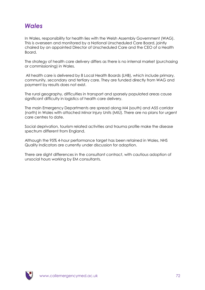# *Wales*

In Wales, responsibility for health lies with the Welsh Assembly Government (WAG). This is overseen and monitored by a National Unscheduled Care Board, jointly chaired by an appointed Director of Unscheduled Care and the CEO of a Health Board.

The strategy of health care delivery differs as there is no internal market (purchasing or commissioning) in Wales.

All health care is delivered by 8 Local Health Boards (LHB), which include primary, community, secondary and tertiary care. They are funded directly from WAG and payment by results does not exist.

The rural geography, difficulties in transport and sparsely populated areas cause significant difficulty in logistics of health care delivery.

The main Emergency Departments are spread along M4 (south) and A55 corridor (north) in Wales with attached Minor Injury Units (MIU). There are no plans for urgent care centres to date.

Social deprivation, tourism related activities and trauma profile make the disease spectrum different from England.

Although the 95% 4-hour performance target has been retained in Wales, NHS Quality Indicators are currently under discussion for adoption.

There are slight differences in the consultant contract, with cautious adoption of unsocial hours working by EM consultants.

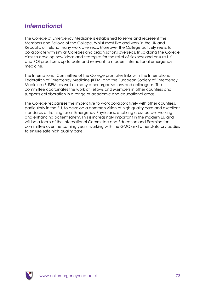# *International*

The College of Emergency Medicine is established to serve and represent the Members and Fellows of the College. Whilst most live and work in the UK and Republic of Ireland many work overseas. Moreover the College actively seeks to collaborate with similar Colleges and organisations overseas. In so doing the College aims to develop new ideas and strategies for the relief of sickness and ensure UK and ROI practice is up to date and relevant to modern international emergency medicine.

The International Committee of the College promotes links with the International Federation of Emergency Medicine (IFEM) and the European Society of Emergency Medicine (EUSEM) as well as many other organisations and colleagues. The committee coordinates the work of Fellows and Members in other countries and supports collaboration in a range of academic and educational areas.

The College recognises the imperative to work collaboratively with other countries, particularly in the EU, to develop a common vision of high quality care and excellent standards of training for all Emergency Physicians, enabling cross-border working and enhancing patient safety. This is increasingly important in the modern EU and will be a focus of the International Committee and Education and Examination committee over the coming years, working with the GMC and other statutory bodies to ensure safe high quality care.

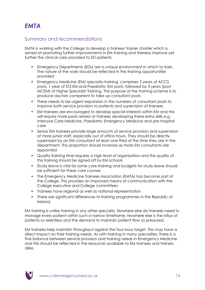## Summary and recommendations

EMTA is working with the College to develop a trainee/ trainer charter which is aimed at promoting further improvements in EM training and thereby improve yet further the clinical care provided to ED patients.

- Emergency Departments (EDs) are a unique environment in which to train. The nature of the work should be reflected in the training opportunities provided
- Emergency Medicine (EM) specialty training, comprises 2 years of ACCS posts, 1 year of ST3 EM and Paediatric EM posts, followed by 3 years (post MCEM) of Higher Specialist Training. The purpose of the training scheme is to produce doctors competent to take up consultant posts
- There needs to be urgent expansion in the numbers of consultant posts to improve both service provision to patients and supervision of trainees
- EM trainees are encouraged to develop special interests within EM and this will require more posts aimed at trainees developing these extra skills e.g. Intensive Care Medicine, Paediatric Emergency Medicine and pre-hospital care
- Senior EM trainees provide large amounts of service provision and supervision of more junior staff, especially out of office hours. They should be directly supervised by an EM consultant at least one third of the time they are in the department. This proportion should increase as more EM consultants are appointed
- Quality training time requires a high level of organisation and the quality of this training should be signed off by EM schools
- Study leave is vital for some core training and budgets for study leave should be sufficient for these core courses
- The Emergency Medicine Trainees Association (EMTA) has become part of the College. This provides an improved means of communication with the College executive and College committees
- Trainees have regional as well as national representation
- There are significant differences to training programmes in the Republic of Ireland.

EM training is unlike training in any other specialty. Nowhere else do trainees need to manage every patient within such a narrow timeframe. Nowhere else is the influx of patients so relentless and the demand to maintain patient flow so pressured.

EM trainees help maintain throughput against the four-hour target. This may have a direct impact on their training needs. As with training in many specialties, there is a fine balance between service provision and training needs in Emergency Medicine and this should be reflected in the resources available to EM trainees and trainers alike.

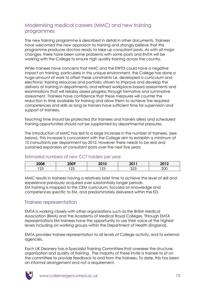# Modernising medical careers (MMC) and new training programmes

The new training programme is described in detail in other documents. Trainees have welcomed the new approach to training and strongly believe that this programme produces doctors ready to take up consultant posts. As with all major changes, there have been some problems with some posts and EMTA will be working with the College to ensure high quality training across the country.

While trainees have concerns that MMC and the EWTD could have a negative impact on training, particularly in this unique environment, the College has done a huge amount of work to offset these constraints i.e. developed a curriculum and electronic training resources and portfolio; striven to improve and develop the delivery of training in departments; and refined workplace-based assessments and examinations that will reliably assess progress through formative and summative assessment. Trainees have confidence that these measures will counter the reduction in time available for training and allow them to achieve the required competences and skills as long as trainers have sufficient time for supervision and support of trainees.

Teaching time should be protected (for trainees and trainers alike) and scheduled training opportunities should not be supplanted by departmental pressures.

The introduction of MMC has led to a large increase in the number of trainees. (see below). This increase is concordant with the College aim to establish a minimum of 10 consultants per department by 2012. However there needs to be real and sustained expansion of consultant posts over the next five years

#### Estimated numbers of new CCT holders per year

| 2008 | 0.000<br>∠U∪≇ | <b>0010</b><br>ZUIV | <b>2011</b> | 885 B |
|------|---------------|---------------------|-------------|-------|
| つに   | $\sim$ $\sim$ | $\cap$              | $\cap$      | 200   |
| ∠◡   | ∠◡            | ∠◡                  | ◡∠◡         |       |

MMC results in trainees having a relatively brief time to achieve the level of skill and experience previously acquired over substantially longer periods. EM training is mapped to the CEM curriculum, focused on knowledge and competences specific to EM, and predominately delivered within the ED.

## Trainee representation

EMTA is working closely with other organizations such as the British Medical Association (BMA) and the Academy of Medical Royal Colleges. Through EMTA representations EM trainees have the opportunity to use their voice at the highest levels including on working groups within the Department of Health (England).

EMTA provides trainee representation to all levels of College activity, and to external agencies.

Each UK Deanery has a Specialist Training Committee that oversees the structure, organisation and quality of training. The majority of these invite a trainee to sit on the committee to provide feedback to and from the trainees. To date, this has been an informal arrangement and not a requirement.

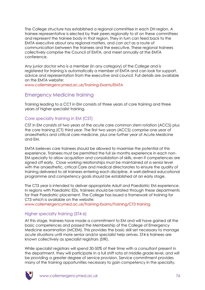The College structure has established a regional committee in each DH region. A trainee representative is elected by their peers regionally to sit on these committees and represent the trainee body in that region. They in turn can feed back to the EMTA executive about any regional matters, and can act as a route of communication between the trainees and the executive. These regional trainees collectively comprise the Council of EMTA, and meet annually at the EMTA conference.

Any junior doctor who is a member (in any category) of the College and is registered for training is automatically a member of EMTA and can look for support, advice and representation from the executive and council. Full details are available on the EMTA website:

[www.collemergencymed.ac.uk/Training-Exams/EMTA](http://www.collemergencymed.ac.uk/Training-Exams/EMTA/default.asp)

## Emergency Medicine training

Training leading to a CCT in EM consists of three years of core training and three years of higher specialist training.

### Core specialty training in EM (CST)

CST in EM consists of two years of the acute care common stem rotation (ACCS) plus the core training (CT) third year. The first two years (ACCS) comprise one year of anaesthetics and critical care medicine, plus one further year of Acute Medicine and EM.

EMTA believes core trainees should be allowed to maximise the potential of this experience. Trainees must be permitted the full six months experience in each non-EM specialty to allow acquisition and consolidation of skills, even if competences are signed off early. Close working relationships must be maintained at a senior level with the anaesthetic, critical Care and medical directorates to ensure the quality of training delivered to all trainees entering each discipline. A well-defined educational programme and competency goals should be established at an early stage.

The CT3 year is intended to deliver appropriate Adult and Paediatric EM experience. In regions with Paediatric EDs, trainees should be rotated through these departments for their Paediatric placement. The College has issued a framework of training for CT3 which is available on the website:

[www.collemergencymed.ac.uk/Training-Exams/Training/CT3 training](http://www.collemergencymed.ac.uk/Training-Exams/Training/CT3%20training) 

#### Higher specialty training (ST4-6)

At this stage, trainees have made a commitment to EM and will have gained all the basic competences and passed the Membership of the College of Emergency Medicine examination (MCEM). This provides the basic skill set necessary to manage acute situations until more senior and/or specialist help arrives. ST4-6 trainees are known collectively as specialist registrars (StR).

While specialist registrars will spend 30-50% of their time with a consultant present in the department, they will participate in a full shift rota at middle grade level, and will be providing a greater degree of service provision. Service commitment provides many of the training opportunities necessary to gain competency in the specialty.

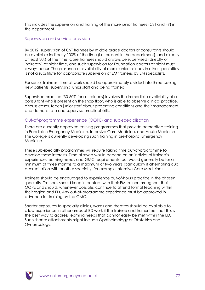This includes the supervision and training of the more junior trainees (CST and FY) in the department.

#### Supervision and service provision

By 2012, supervision of CST trainees by middle grade doctors or consultants should be available indirectly 100% of the time (i.e. present in the department), and directly at least 30% of the time. Core trainees should always be supervised (directly or indirectly) at night time, and such supervision for Foundation doctors at night must always occur. The presence or availability of more senior trainees in other specialties is not a substitute for appropriate supervision of EM trainees by EM specialists.

For senior trainees, time at work should be approximately divided into three: seeing new patients; supervising junior staff and being trained.

Supervised practice (30-50% for all trainees) involves the immediate availability of a consultant who is present on the shop floor, who is able to observe clinical practice, discuss cases, teach junior staff about presenting conditions and their management, and demonstrate and supervise practical skills.

#### Out-of-programme experience (OOPE) and sub-specialisation

There are currently approved training programmes that provide accredited training in Paediatric Emergency Medicine, Intensive Care Medicine, and Acute Medicine. The College is currently developing such training in pre-hospital Emergency Medicine.

These sub-specialty programmes will require taking time out-of-programme to develop these interests. Time allowed would depend on an individual trainee"s experience, learning needs and GMC requirements, but would generally be for a minimum of three months to a maximum of two years (particularly if attempting dual accreditation with another specialty, for example Intensive Care Medicine).

Trainees should be encouraged to experience out-of-hours practice in the chosen specialty. Trainees should keep in contact with their EM trainer throughout their OOPE and should, whenever possible, continue to attend formal teaching within their region and ED. Any out-of-programme experience must be approved in advance for training by the GMC.

Shorter exposures to specialty clinics, wards and theatres should be available to allow experience in other areas of ED work if the trainee and trainer feel that this is the best way to address learning needs that cannot easily be met within the ED. Such shorter attachments might include Ophthalmology or Obstetrics and Gynaecology.

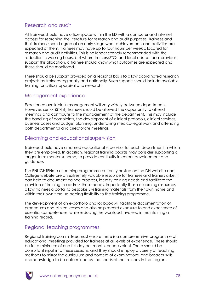# Research and audit

All trainees should have office space within the ED with a computer and internet access for searching the literature for research and audit purposes. Trainees and their trainers should agree at an early stage what achievements and activities are expected of them. Trainees may have up to four hours per week allocated for research and audit activities. This is no longer strongly recommended with the reduction in working hours, but where trainers/STCs and local educational providers support this allocation, a trainee should know what outcomes are expected and these should be monitored.

There should be support provided on a regional basis to allow coordinated research projects by trainees regionally and nationally. Such support should include available training for critical appraisal and research.

## Management experience

Experience available in management will vary widely between departments. However, senior (ST4-6) trainees should be allowed the opportunity to attend meetings and contribute to the management of the department. This may include the handling of complaints, the development of clinical protocols, clinical services, business cases and budget planning, undertaking medico-legal work and attending both departmental and directorate meetings.

## E-learning and educational supervision

Trainees should have a named educational supervisor for each department in which they are employed. In addition, regional training boards may consider supporting a longer-term mentor scheme, to provide continuity in career development and guidance.

The ENLIGHTENme e-learning programme currently hosted on the DH website and College website are an extremely valuable resource for trainees and trainers alike. It can help to document trainee progress, identify training needs and facilitate the provision of training to address these needs. Importantly these e learning resources allow trainees a portal to bespoke EM training materials from their own home and within their own time, so adding flexibility to the training programme.

The development of an e-portfolio and logbook will facilitate documentation of procedures and clinical cases and also help record exposure to and experience of essential competences, while reducing the workload involved in maintaining a training record.

# Regional teaching programmes

Regional training committees must ensure there is a comprehensive programme of educational meetings provided for trainees at all levels of experience. These should be for a minimum of one full day per month, or equivalent. There should be consultant input into these sessions, and they should employ a variety of teaching methods to mirror the curriculum and content of examinations, and broader skills and knowledge to be determined by the needs of the trainees in that region.

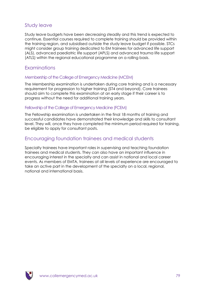# Study leave

Study leave budgets have been decreasing steadily and this trend is expected to continue. Essential courses required to complete training should be provided within the training region, and subsidised outside the study leave budget if possible. STCs might consider group training dedicated to EM trainees for advanced life support (ALS), advanced paediatric life support (APLS) and advanced trauma life support (ATLS) within the regional educational programme on a rolling basis.

## Examinations

#### Membership of the College of Emergency Medicine (MCEM)

The Membership examination is undertaken during core training and is a necessary requirement for progression to higher training (ST4 and beyond). Core trainees should aim to complete this examination at an early stage if their career is to progress without the need for additional training years.

#### Fellowship of the College of Emergency Medicine (FCEM)

The Fellowship examination is undertaken in the final 18 months of training and successful candidates have demonstrated their knowledge and skills to consultant level. They will, once they have completed the minimum period required for training, be eligible to apply for consultant posts.

## Encouraging foundation trainees and medical students

Specialty trainees have important roles in supervising and teaching foundation trainees and medical students. They can also have an important influence in encouraging interest in the specialty and can assist in national and local career events. As members of EMTA, trainees at all levels of experience are encouraged to take an active part in the development of the specialty on a local, regional, national and international basis.

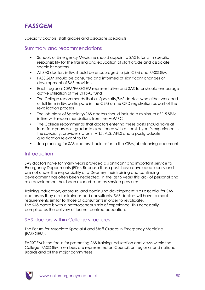# *FASSGEM*

Specialty doctors, staff grades and associate specialists

## Summary and recommendations

- Schools of Emergency Medicine should appoint a SAS tutor with specific responsibility for the training and education of staff grade and associate specialist doctors
- All SAS doctors in EM should be encouraged to join CEM and FASSGEM
- FASSGEM should be consulted and informed of significant changes or development of SAS provision
- Each regional CEM/FASSGEM representative and SAS tutor should encourage active utilisation of the DH SAS fund
- The College recommends that all Specialty/SAS doctors who either work part or full time in EM participate in the CEM online CPD registration as part of the revalidation process
- The job plans of Specialty/SAS doctors should include a minimum of 1.5 SPAs in line with recommendations from the AoMRC
- The College recommends that doctors entering these posts should have at least four years post-graduate experience with at least 1 year"s experience in the specialty, provider status in ATLS, ALS, APLS and a postgraduate qualification relevant to EM
- Job planning for SAS doctors should refer to the CEM job planning document.

## Introduction

SAS doctors have for many years provided a significant and important service to Emergency Departments (EDs). Because these posts have developed locally and are not under the responsibility of a Deanery their training and continuing development has often been neglected. In the last 5 years this lack of personal and role development has been exacerbated by service pressures.

Training, education, appraisal and continuing development is as essential for SAS doctors as they are for trainees and consultants. SAS doctors will have to meet requirements similar to those of consultants in order to revalidate. The SAS cadre is with a heterogeneous mix of experience. This necessarily complicates the delivery of learner centred education.

# SAS doctors within College structures

The Forum for Associate Specialist and Staff Grades in Emergency Medicine (FASSGEM).

FASSGEM is the focus for promoting SAS training, education and views within the College. FASSGEM members are represented on Council, on regional and national Boards and all the major committees.

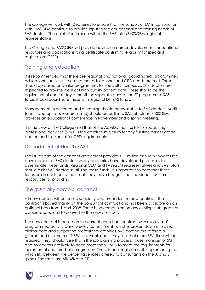The College will work with Deaneries to ensure that the schools of EM in conjunction with FASSGEM continue to provide input to the educational and training needs of SAS doctors. The point of reference will be the SAS tutor/FASSGEM regional representative.

The College and FASSGEM will provide advice on career development, educational resources and applications for a certificate confirming eligibility for specialist registration (CESR).

## Training and education

It is recommended that there are regional and national, coordinated, programmed educational activities to ensure that educational and CPD needs are met. These should be based on similar programmes for specialty trainees as SAS doctors are expected to provide identical high quality patient care. These should be the equivalent of one full day a month on separate days to the ST programme. SAS tutors should coordinate these with regional DH SAS funds.

Management experience and e-learning should be available to SAS doctors. Audit (and if appropriate, research time) should be built into SAS job plans. FASSGEM provides an educational conference in November and a spring meeting.

It is the view of the College and that of the AoMRC that 1.5 PA for supporting professional activities (SPAs) is the absolute minimum for any full time career grade doctor, and is essential for CPD requirements.

## Department of Health SAS funds

The DH as part of the contract agreement provides £12 million annually towards the development of SAS doctors. Many deaneries have developed processes to disseminate these funds. Regional CEM and FASSGEM representatives and SAS tutors should assist SAS doctors in utilising these funds. It is important to note that these funds are in addition to the usual study leave budgets that individual trusts are responsible for providing.

## The specialty doctors' contract

All new doctors will be called specialty doctors under the new contract. The contract is based mainly on the consultant contract and has been available on an optional basis from 1 April 2008. There is no compulsion on any existing staff grade or associate specialist to convert to the new contract.

The new contract is based on the current consultant contract with usually a 10 programmed activity basic weekly commitment, which is broken down into direct clinical care and supporting professional activities. SAS doctors are offered a guaranteed minimum of 1 SPA per week and if they feel that more SPA time will be required, they should raise this in the job planning process. Those more senior SG and AS doctors are likely to need more than 1 SPA to meet the requirements for incremental and threshold progression. There is one single on-call supplement spine which sits between the percentage rates offered to consultants on the A and B spines. The rates are 6%, 4% and 2%.

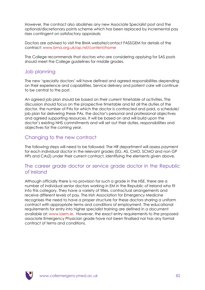However, the contract also abolishes any new Associate Specialist post and the optional/discretionary points scheme which has been replaced by incremental pay rises contingent on satisfactory appraisals

Doctors are advised to visit the BMA website/contact FASSGEM for details of the contract: [www.bma.org.uk/ap.nsf/content/home](http://www.bma.org.uk/ap.nsf/content/home)

The College recommends that doctors who are considering applying for SAS posts should meet the College guidelines for middle grades.

### Job planning

The new "specialty doctors" will have defined and agreed responsibilities depending on their experience and capabilities. Service delivery and patient care will continue to be central to the post.

An agreed job plan should be based on their current timetable of activities. The discussion should focus on the prospective timetable and list all the duties of the doctor, the number of PAs for which the doctor is contracted and paid, a schedule/ job plan for delivering these PAs, the doctor"s personal and professional objectives and agreed supporting resources. It will be based on and will build upon the doctor"s existing NHS commitments and will set out their duties, responsibilities and objectives for the coming year.

## Changing to the new contract

The following steps will need to be followed: The HR department will assess payment for each individual doctor in the relevant grades (SG, AS, CMO, SCMO and non GP HPs and CAs2) under their current contract, identifying the elements given above.

## The career grade doctor or service grade doctor in the Republic of Ireland

Although officially there is no provision for such a grade in the HSE, there are a number of individual senior doctors working in EM in the Republic of Ireland who fit into this category. They have a variety of titles, contractual arrangements and receive different levels of pay. The Irish Association for Emergency Medicine recognises the need to have a proper structure for these doctors sharing a uniform contract with appropriate terms and conditions of employment. The educational requirements for entry into higher specialist training are defined in a document available at: [www.iaem.ie.](http://www.iaem.ie/) However, the exact entry requirements to the proposed associate Emergency Physician grade have not been finalised nor has any formal contract of terms and conditions.